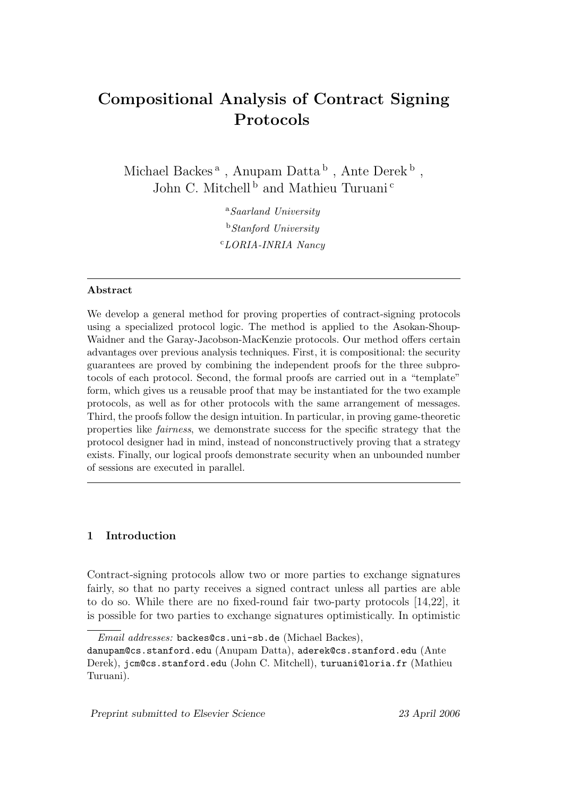# Compositional Analysis of Contract Signing Protocols

Michael Backes<sup>a</sup>, Anupam Datta<sup>b</sup>, Ante Derek<sup>b</sup>, John C. Mitchell<sup>b</sup> and Mathieu Turuani<sup>c</sup>

> <sup>a</sup>Saarland University <sup>b</sup>Stanford University <sup>c</sup>LORIA-INRIA Nancy

## Abstract

We develop a general method for proving properties of contract-signing protocols using a specialized protocol logic. The method is applied to the Asokan-Shoup-Waidner and the Garay-Jacobson-MacKenzie protocols. Our method offers certain advantages over previous analysis techniques. First, it is compositional: the security guarantees are proved by combining the independent proofs for the three subprotocols of each protocol. Second, the formal proofs are carried out in a "template" form, which gives us a reusable proof that may be instantiated for the two example protocols, as well as for other protocols with the same arrangement of messages. Third, the proofs follow the design intuition. In particular, in proving game-theoretic properties like fairness, we demonstrate success for the specific strategy that the protocol designer had in mind, instead of nonconstructively proving that a strategy exists. Finally, our logical proofs demonstrate security when an unbounded number of sessions are executed in parallel.

# 1 Introduction

Contract-signing protocols allow two or more parties to exchange signatures fairly, so that no party receives a signed contract unless all parties are able to do so. While there are no fixed-round fair two-party protocols [14,22], it is possible for two parties to exchange signatures optimistically. In optimistic

Email addresses: backes@cs.uni-sb.de (Michael Backes),

danupam@cs.stanford.edu (Anupam Datta), aderek@cs.stanford.edu (Ante Derek), jcm@cs.stanford.edu (John C. Mitchell), turuani@loria.fr (Mathieu Turuani).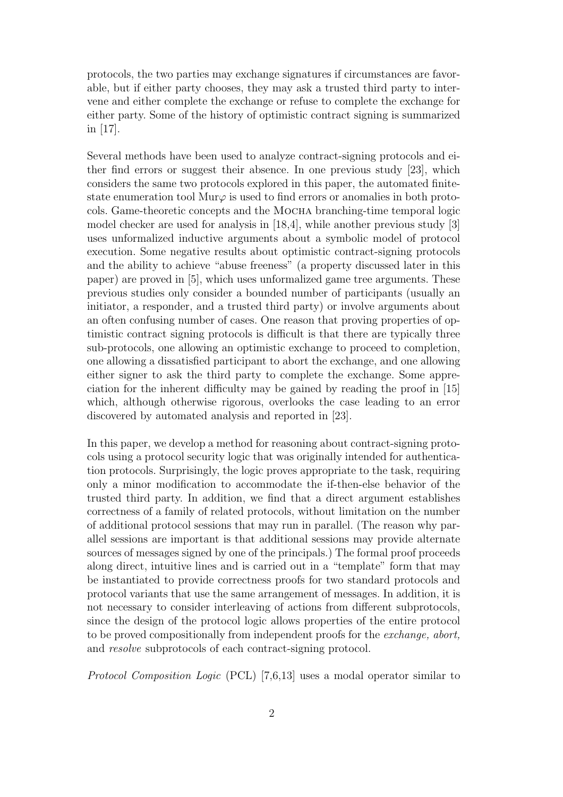protocols, the two parties may exchange signatures if circumstances are favorable, but if either party chooses, they may ask a trusted third party to intervene and either complete the exchange or refuse to complete the exchange for either party. Some of the history of optimistic contract signing is summarized in [17].

Several methods have been used to analyze contract-signing protocols and either find errors or suggest their absence. In one previous study [23], which considers the same two protocols explored in this paper, the automated finitestate enumeration tool Mur $\varphi$  is used to find errors or anomalies in both protocols. Game-theoretic concepts and the Mocha branching-time temporal logic model checker are used for analysis in [18,4], while another previous study [3] uses unformalized inductive arguments about a symbolic model of protocol execution. Some negative results about optimistic contract-signing protocols and the ability to achieve "abuse freeness" (a property discussed later in this paper) are proved in [5], which uses unformalized game tree arguments. These previous studies only consider a bounded number of participants (usually an initiator, a responder, and a trusted third party) or involve arguments about an often confusing number of cases. One reason that proving properties of optimistic contract signing protocols is difficult is that there are typically three sub-protocols, one allowing an optimistic exchange to proceed to completion, one allowing a dissatisfied participant to abort the exchange, and one allowing either signer to ask the third party to complete the exchange. Some appreciation for the inherent difficulty may be gained by reading the proof in [15] which, although otherwise rigorous, overlooks the case leading to an error discovered by automated analysis and reported in [23].

In this paper, we develop a method for reasoning about contract-signing protocols using a protocol security logic that was originally intended for authentication protocols. Surprisingly, the logic proves appropriate to the task, requiring only a minor modification to accommodate the if-then-else behavior of the trusted third party. In addition, we find that a direct argument establishes correctness of a family of related protocols, without limitation on the number of additional protocol sessions that may run in parallel. (The reason why parallel sessions are important is that additional sessions may provide alternate sources of messages signed by one of the principals.) The formal proof proceeds along direct, intuitive lines and is carried out in a "template" form that may be instantiated to provide correctness proofs for two standard protocols and protocol variants that use the same arrangement of messages. In addition, it is not necessary to consider interleaving of actions from different subprotocols, since the design of the protocol logic allows properties of the entire protocol to be proved compositionally from independent proofs for the exchange, abort, and resolve subprotocols of each contract-signing protocol.

Protocol Composition Logic (PCL) [7,6,13] uses a modal operator similar to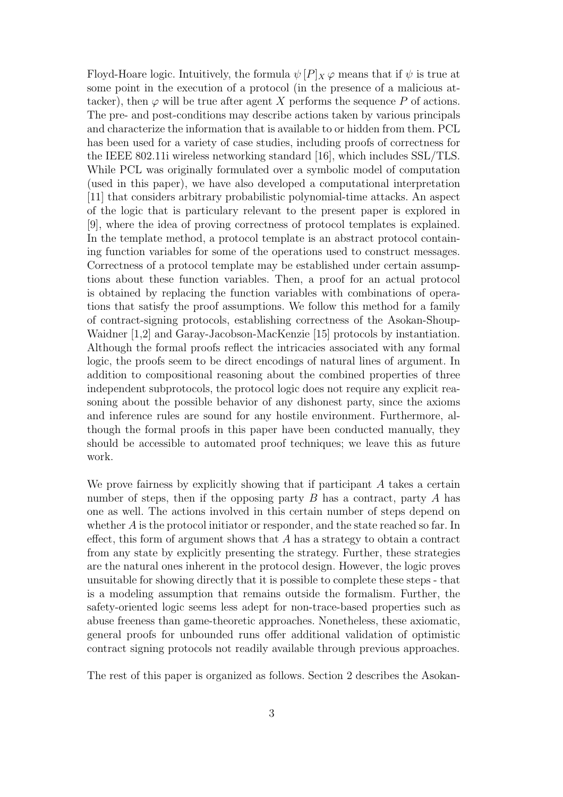Floyd-Hoare logic. Intuitively, the formula  $\psi[P]_X \varphi$  means that if  $\psi$  is true at some point in the execution of a protocol (in the presence of a malicious attacker), then  $\varphi$  will be true after agent X performs the sequence P of actions. The pre- and post-conditions may describe actions taken by various principals and characterize the information that is available to or hidden from them. PCL has been used for a variety of case studies, including proofs of correctness for the IEEE 802.11i wireless networking standard [16], which includes SSL/TLS. While PCL was originally formulated over a symbolic model of computation (used in this paper), we have also developed a computational interpretation [11] that considers arbitrary probabilistic polynomial-time attacks. An aspect of the logic that is particulary relevant to the present paper is explored in [9], where the idea of proving correctness of protocol templates is explained. In the template method, a protocol template is an abstract protocol containing function variables for some of the operations used to construct messages. Correctness of a protocol template may be established under certain assumptions about these function variables. Then, a proof for an actual protocol is obtained by replacing the function variables with combinations of operations that satisfy the proof assumptions. We follow this method for a family of contract-signing protocols, establishing correctness of the Asokan-Shoup-Waidner [1,2] and Garay-Jacobson-MacKenzie [15] protocols by instantiation. Although the formal proofs reflect the intricacies associated with any formal logic, the proofs seem to be direct encodings of natural lines of argument. In addition to compositional reasoning about the combined properties of three independent subprotocols, the protocol logic does not require any explicit reasoning about the possible behavior of any dishonest party, since the axioms and inference rules are sound for any hostile environment. Furthermore, although the formal proofs in this paper have been conducted manually, they should be accessible to automated proof techniques; we leave this as future work.

We prove fairness by explicitly showing that if participant A takes a certain number of steps, then if the opposing party  $B$  has a contract, party  $A$  has one as well. The actions involved in this certain number of steps depend on whether A is the protocol initiator or responder, and the state reached so far. In effect, this form of argument shows that  $A$  has a strategy to obtain a contract from any state by explicitly presenting the strategy. Further, these strategies are the natural ones inherent in the protocol design. However, the logic proves unsuitable for showing directly that it is possible to complete these steps - that is a modeling assumption that remains outside the formalism. Further, the safety-oriented logic seems less adept for non-trace-based properties such as abuse freeness than game-theoretic approaches. Nonetheless, these axiomatic, general proofs for unbounded runs offer additional validation of optimistic contract signing protocols not readily available through previous approaches.

The rest of this paper is organized as follows. Section 2 describes the Asokan-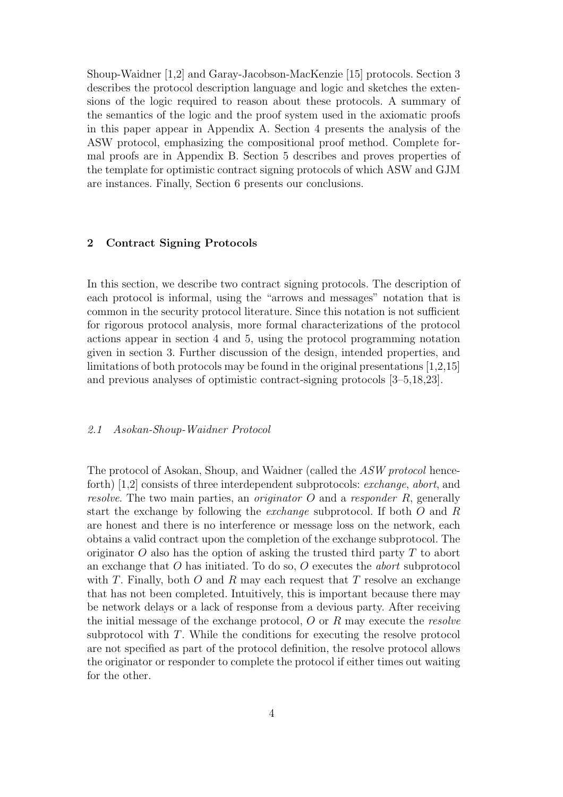Shoup-Waidner [1,2] and Garay-Jacobson-MacKenzie [15] protocols. Section 3 describes the protocol description language and logic and sketches the extensions of the logic required to reason about these protocols. A summary of the semantics of the logic and the proof system used in the axiomatic proofs in this paper appear in Appendix A. Section 4 presents the analysis of the ASW protocol, emphasizing the compositional proof method. Complete formal proofs are in Appendix B. Section 5 describes and proves properties of the template for optimistic contract signing protocols of which ASW and GJM are instances. Finally, Section 6 presents our conclusions.

# 2 Contract Signing Protocols

In this section, we describe two contract signing protocols. The description of each protocol is informal, using the "arrows and messages" notation that is common in the security protocol literature. Since this notation is not sufficient for rigorous protocol analysis, more formal characterizations of the protocol actions appear in section 4 and 5, using the protocol programming notation given in section 3. Further discussion of the design, intended properties, and limitations of both protocols may be found in the original presentations [1,2,15] and previous analyses of optimistic contract-signing protocols [3–5,18,23].

#### 2.1 Asokan-Shoup-Waidner Protocol

The protocol of Asokan, Shoup, and Waidner (called the ASW protocol henceforth) [1,2] consists of three interdependent subprotocols: exchange, abort, and resolve. The two main parties, an *originator O* and a responder  $R$ , generally start the exchange by following the exchange subprotocol. If both O and R are honest and there is no interference or message loss on the network, each obtains a valid contract upon the completion of the exchange subprotocol. The originator  $O$  also has the option of asking the trusted third party  $T$  to abort an exchange that O has initiated. To do so, O executes the abort subprotocol with T. Finally, both  $O$  and  $R$  may each request that T resolve an exchange that has not been completed. Intuitively, this is important because there may be network delays or a lack of response from a devious party. After receiving the initial message of the exchange protocol,  $O$  or  $R$  may execute the *resolve* subprotocol with T. While the conditions for executing the resolve protocol are not specified as part of the protocol definition, the resolve protocol allows the originator or responder to complete the protocol if either times out waiting for the other.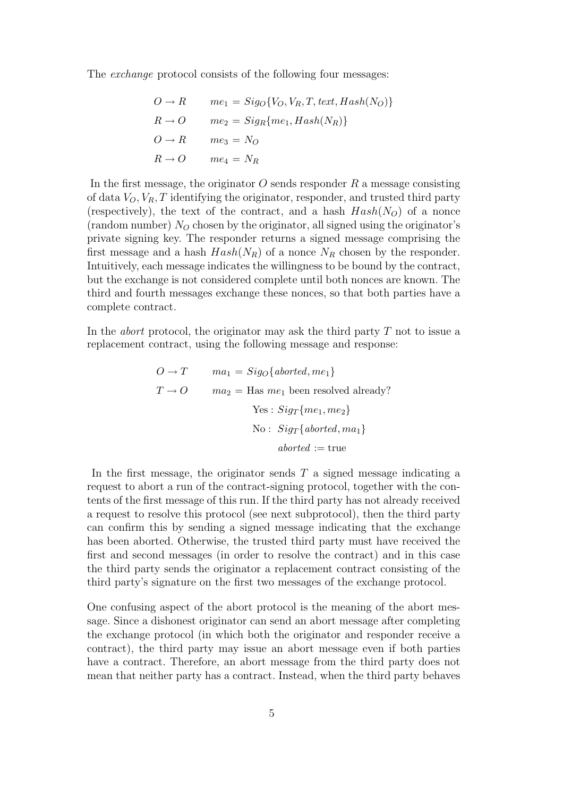The *exchange* protocol consists of the following four messages:

$$
O \to R \qquad me_1 = Sig_O\{V_O, V_R, T, text, Hash(N_O)\}
$$
  
\n
$$
R \to O \qquad me_2 = Sign\{me_1, Hash(N_R)\}
$$
  
\n
$$
O \to R \qquad me_3 = N_O
$$
  
\n
$$
R \to O \qquad me_4 = N_R
$$

In the first message, the originator  $O$  sends responder  $R$  a message consisting of data  $V_O$ ,  $V_R$ ,  $T$  identifying the originator, responder, and trusted third party (respectively), the text of the contract, and a hash  $Hash(N<sub>O</sub>)$  of a nonce (random number)  $N_O$  chosen by the originator, all signed using the originator's private signing key. The responder returns a signed message comprising the first message and a hash  $Hash(N_R)$  of a nonce  $N_R$  chosen by the responder. Intuitively, each message indicates the willingness to be bound by the contract, but the exchange is not considered complete until both nonces are known. The third and fourth messages exchange these nonces, so that both parties have a complete contract.

In the *abort* protocol, the originator may ask the third party  $T$  not to issue a replacement contract, using the following message and response:

$$
O \to T \qquad ma_1 = Sig_O\{aborted, me_1\}
$$
  
\n
$$
T \to O \qquad ma_2 = \text{Has } me_1 \text{ been resolved already?}
$$
  
\n
$$
\text{Yes}: Sig_T\{me_1, me_2\}
$$
  
\n
$$
\text{No}: Sig_T\{aborted, ma_1\}
$$
  
\n
$$
aborted := \text{true}
$$

In the first message, the originator sends  $T$  a signed message indicating a request to abort a run of the contract-signing protocol, together with the contents of the first message of this run. If the third party has not already received a request to resolve this protocol (see next subprotocol), then the third party can confirm this by sending a signed message indicating that the exchange has been aborted. Otherwise, the trusted third party must have received the first and second messages (in order to resolve the contract) and in this case the third party sends the originator a replacement contract consisting of the third party's signature on the first two messages of the exchange protocol.

One confusing aspect of the abort protocol is the meaning of the abort message. Since a dishonest originator can send an abort message after completing the exchange protocol (in which both the originator and responder receive a contract), the third party may issue an abort message even if both parties have a contract. Therefore, an abort message from the third party does not mean that neither party has a contract. Instead, when the third party behaves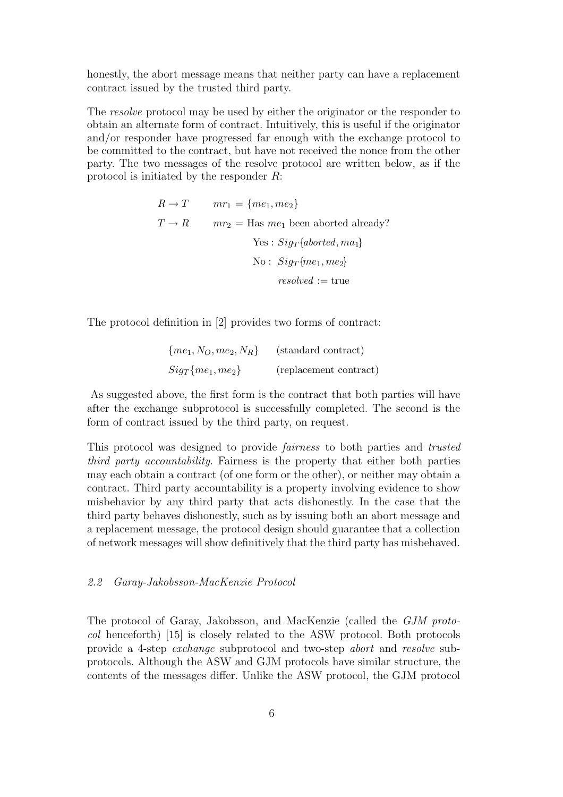honestly, the abort message means that neither party can have a replacement contract issued by the trusted third party.

The *resolve* protocol may be used by either the originator or the responder to obtain an alternate form of contract. Intuitively, this is useful if the originator and/or responder have progressed far enough with the exchange protocol to be committed to the contract, but have not received the nonce from the other party. The two messages of the resolve protocol are written below, as if the protocol is initiated by the responder R:

$$
R \rightarrow T \qquad mr_1 = \{me_1, me_2\}
$$
  
\n
$$
T \rightarrow R \qquad mr_2 = \text{Has } me_1 \text{ been aborted already?}
$$
  
\n
$$
\text{Yes}: \text{Sig}_T \{\text{aborted}, \text{ma}_1\}
$$
  
\n
$$
\text{No}: \text{Sig}_T \{me_1, me_2\}
$$
  
\n
$$
\text{resolved} := \text{true}
$$

The protocol definition in [2] provides two forms of contract:

| ${me_1, N_O, me_2, N_R}$ | (standard contract)    |
|--------------------------|------------------------|
| $Sign{me_1,me_2\}$       | (replacement contract) |

As suggested above, the first form is the contract that both parties will have after the exchange subprotocol is successfully completed. The second is the form of contract issued by the third party, on request.

This protocol was designed to provide fairness to both parties and trusted third party accountability. Fairness is the property that either both parties may each obtain a contract (of one form or the other), or neither may obtain a contract. Third party accountability is a property involving evidence to show misbehavior by any third party that acts dishonestly. In the case that the third party behaves dishonestly, such as by issuing both an abort message and a replacement message, the protocol design should guarantee that a collection of network messages will show definitively that the third party has misbehaved.

## 2.2 Garay-Jakobsson-MacKenzie Protocol

The protocol of Garay, Jakobsson, and MacKenzie (called the GJM protocol henceforth) [15] is closely related to the ASW protocol. Both protocols provide a 4-step exchange subprotocol and two-step abort and resolve subprotocols. Although the ASW and GJM protocols have similar structure, the contents of the messages differ. Unlike the ASW protocol, the GJM protocol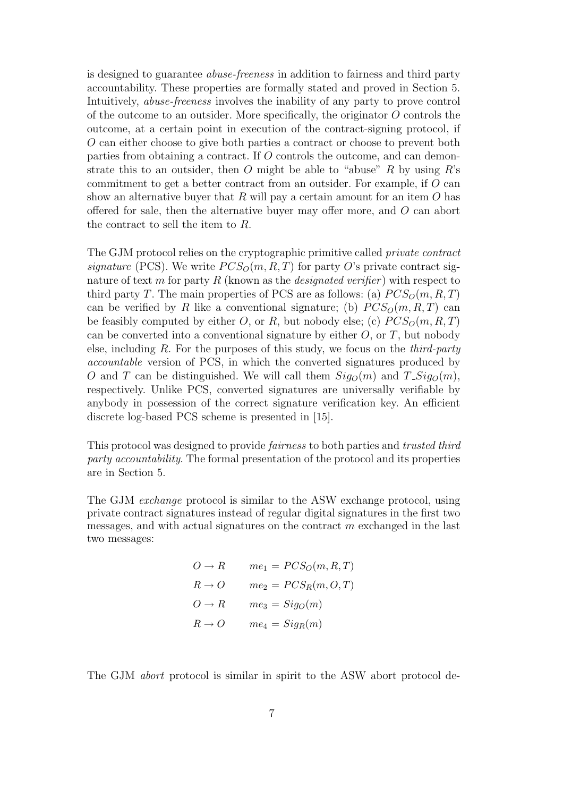is designed to guarantee abuse-freeness in addition to fairness and third party accountability. These properties are formally stated and proved in Section 5. Intuitively, abuse-freeness involves the inability of any party to prove control of the outcome to an outsider. More specifically, the originator O controls the outcome, at a certain point in execution of the contract-signing protocol, if O can either choose to give both parties a contract or choose to prevent both parties from obtaining a contract. If O controls the outcome, and can demonstrate this to an outsider, then O might be able to "abuse"  $R$  by using  $R$ 's commitment to get a better contract from an outsider. For example, if O can show an alternative buyer that R will pay a certain amount for an item  $O$  has offered for sale, then the alternative buyer may offer more, and O can abort the contract to sell the item to R.

The GJM protocol relies on the cryptographic primitive called private contract signature (PCS). We write  $PCS_O(m, R, T)$  for party O's private contract signature of text m for party R (known as the *designated verifier*) with respect to third party T. The main properties of PCS are as follows: (a)  $PCS_O(m, R, T)$ can be verified by R like a conventional signature; (b)  $PCS_O(m, R, T)$  can be feasibly computed by either O, or R, but nobody else; (c)  $PCS_O(m, R, T)$ can be converted into a conventional signature by either  $O$ , or  $T$ , but nobody else, including  $R$ . For the purposes of this study, we focus on the *third-party* accountable version of PCS, in which the converted signatures produced by O and T can be distinguished. We will call them  $Sig_O(m)$  and  $T \,$   $Sig_O(m)$ , respectively. Unlike PCS, converted signatures are universally verifiable by anybody in possession of the correct signature verification key. An efficient discrete log-based PCS scheme is presented in [15].

This protocol was designed to provide fairness to both parties and trusted third party accountability. The formal presentation of the protocol and its properties are in Section 5.

The GJM exchange protocol is similar to the ASW exchange protocol, using private contract signatures instead of regular digital signatures in the first two messages, and with actual signatures on the contract m exchanged in the last two messages:

| $Q \rightarrow R$ | $me_1 = PCS_O(m, R, T)$ |
|-------------------|-------------------------|
| $R \to O$         | $me_2 = PCS_R(m, O, T)$ |
| $O \rightarrow R$ | $me_3 = SigO(m)$        |
| $R \rightarrow O$ | $me_4 = Sig_R(m)$       |

The GJM abort protocol is similar in spirit to the ASW abort protocol de-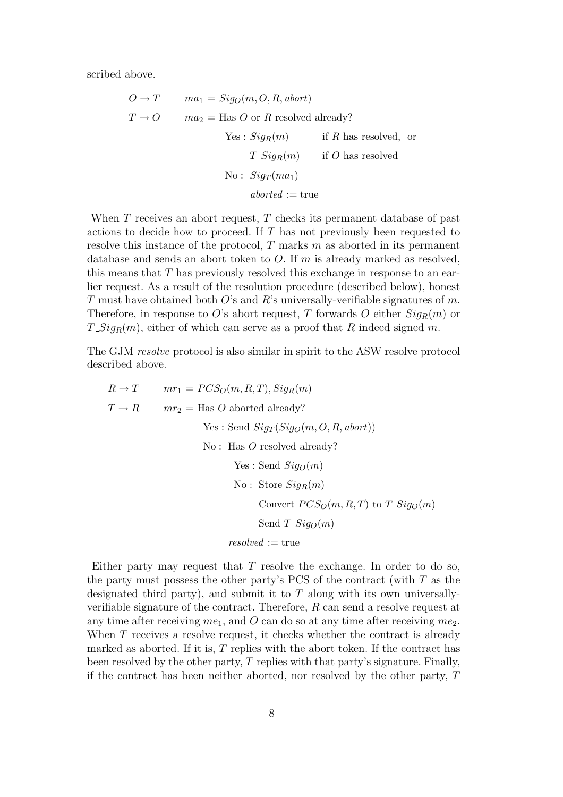scribed above.

$$
O \rightarrow T \t ma_1 = Sig_O(m, O, R, abort)
$$
  
\n
$$
T \rightarrow O \t ma_2 = Has O \text{ or } R \text{ resolved already?}
$$
  
\nYes:  $Sign(m)$  if  $R$  has resolved, or  
\n
$$
T\_Sig_R(m)
$$
 if  $O$  has resolved  
\nNo:  $Sig_T(ma_1)$   
\n*aborted* := true

When  $T$  receives an abort request,  $T$  checks its permanent database of past actions to decide how to proceed. If T has not previously been requested to resolve this instance of the protocol,  $T$  marks  $m$  as aborted in its permanent database and sends an abort token to  $O$ . If m is already marked as resolved, this means that T has previously resolved this exchange in response to an earlier request. As a result of the resolution procedure (described below), honest T must have obtained both O's and R's universally-verifiable signatures of m. Therefore, in response to O's abort request, T forwards O either  $Sig_R(m)$  or  $T_{\alpha}Sign(m)$ , either of which can serve as a proof that R indeed signed m.

The GJM resolve protocol is also similar in spirit to the ASW resolve protocol described above.

$$
R \rightarrow T \qquad mr_1 = PCS_O(m, R, T), Sig_R(m)
$$
  
\n
$$
T \rightarrow R \qquad mr_2 = \text{Has } O \text{ aborted already?}
$$
  
\nYes : Send Sig<sub>T</sub>(Sig<sub>O</sub>(m, O, R, abort))  
\nNo : Has O resolved already?  
\nYes : Send Sig<sub>O</sub>(m)  
\nNo : Store Sig<sub>R</sub>(m)  
\nConvert  $PCS_O(m, R, T)$  to  $T\_Sig_O(m)$   
\nSend  $T\_Sig_O(m)$   
\nresolved := true

Either party may request that  $T$  resolve the exchange. In order to do so, the party must possess the other party's PCS of the contract (with  $T$  as the designated third party), and submit it to  $T$  along with its own universallyverifiable signature of the contract. Therefore, R can send a resolve request at any time after receiving  $me_1$ , and O can do so at any time after receiving  $me_2$ . When T receives a resolve request, it checks whether the contract is already marked as aborted. If it is,  $T$  replies with the abort token. If the contract has been resolved by the other party, T replies with that party's signature. Finally, if the contract has been neither aborted, nor resolved by the other party, T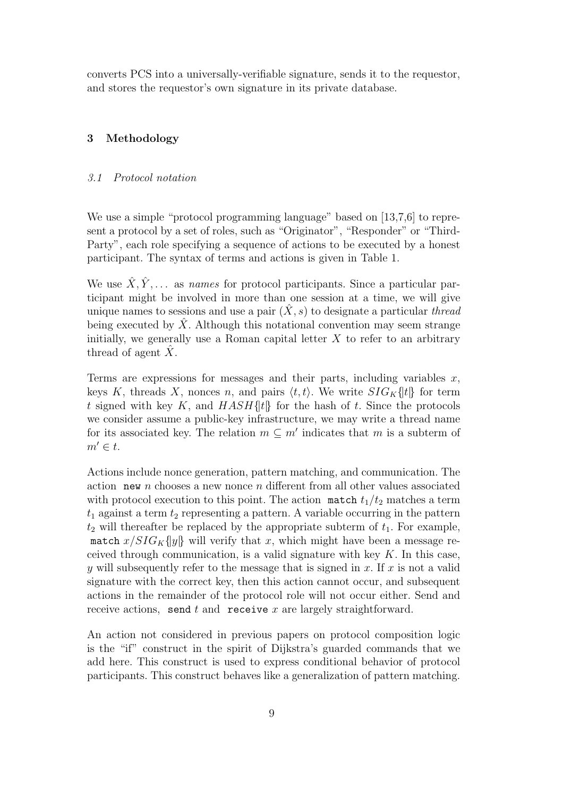converts PCS into a universally-verifiable signature, sends it to the requestor, and stores the requestor's own signature in its private database.

# 3 Methodology

## 3.1 Protocol notation

We use a simple "protocol programming language" based on [13,7,6] to represent a protocol by a set of roles, such as "Originator", "Responder" or "Third-Party", each role specifying a sequence of actions to be executed by a honest participant. The syntax of terms and actions is given in Table 1.

We use  $\hat{X}, \hat{Y}, \ldots$  as *names* for protocol participants. Since a particular participant might be involved in more than one session at a time, we will give unique names to sessions and use a pair  $(X, s)$  to designate a particular thread being executed by  $X$ . Although this notational convention may seem strange initially, we generally use a Roman capital letter  $X$  to refer to an arbitrary thread of agent  $X$ .

Terms are expressions for messages and their parts, including variables  $x$ , keys K, threads X, nonces n, and pairs  $\langle t, t \rangle$ . We write  $SIG_K\{t\}$  for term t signed with key K, and  $HASH{t}$  for the hash of t. Since the protocols we consider assume a public-key infrastructure, we may write a thread name for its associated key. The relation  $m \subseteq m'$  indicates that m is a subterm of  $m' \in t$ .

Actions include nonce generation, pattern matching, and communication. The action new n chooses a new nonce n different from all other values associated with protocol execution to this point. The action match  $t_1/t_2$  matches a term  $t_1$  against a term  $t_2$  representing a pattern. A variable occurring in the pattern  $t_2$  will thereafter be replaced by the appropriate subterm of  $t_1$ . For example, match  $x/SIG_K{y}$  will verify that x, which might have been a message received through communication, is a valid signature with key  $K$ . In this case, y will subsequently refer to the message that is signed in x. If x is not a valid signature with the correct key, then this action cannot occur, and subsequent actions in the remainder of the protocol role will not occur either. Send and receive actions, send  $t$  and receive  $x$  are largely straightforward.

An action not considered in previous papers on protocol composition logic is the "if" construct in the spirit of Dijkstra's guarded commands that we add here. This construct is used to express conditional behavior of protocol participants. This construct behaves like a generalization of pattern matching.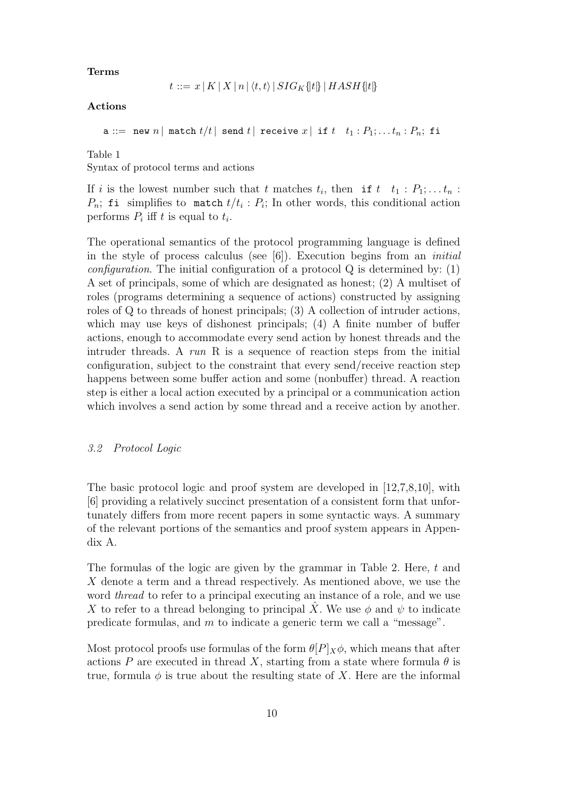Terms

$$
t ::= x | K | X | n | \langle t, t \rangle | SIG_K \{t\} | HASH \{t\} |
$$

Actions

a ::= new n | match  $t/t$  | send t | receive x | if  $t$   $t_1 : P_1; \ldots t_n : P_n;$  fi

Table 1 Syntax of protocol terms and actions

If i is the lowest number such that t matches  $t_i$ , then if  $t \, t_1 : P_1; \ldots t_n$ :  $P_n$ ; fi simplifies to match  $t/t_i$ :  $P_i$ ; In other words, this conditional action performs  $P_i$  iff t is equal to  $t_i$ .

The operational semantics of the protocol programming language is defined in the style of process calculus (see [6]). Execution begins from an initial *configuration*. The initial configuration of a protocol  $Q$  is determined by: (1) A set of principals, some of which are designated as honest; (2) A multiset of roles (programs determining a sequence of actions) constructed by assigning roles of Q to threads of honest principals; (3) A collection of intruder actions, which may use keys of dishonest principals; (4) A finite number of buffer actions, enough to accommodate every send action by honest threads and the intruder threads. A run R is a sequence of reaction steps from the initial configuration, subject to the constraint that every send/receive reaction step happens between some buffer action and some (nonbuffer) thread. A reaction step is either a local action executed by a principal or a communication action which involves a send action by some thread and a receive action by another.

#### 3.2 Protocol Logic

The basic protocol logic and proof system are developed in [12,7,8,10], with [6] providing a relatively succinct presentation of a consistent form that unfortunately differs from more recent papers in some syntactic ways. A summary of the relevant portions of the semantics and proof system appears in Appendix A.

The formulas of the logic are given by the grammar in Table 2. Here, t and X denote a term and a thread respectively. As mentioned above, we use the word thread to refer to a principal executing an instance of a role, and we use X to refer to a thread belonging to principal X. We use  $\phi$  and  $\psi$  to indicate predicate formulas, and m to indicate a generic term we call a "message".

Most protocol proofs use formulas of the form  $\theta[P]_X\phi$ , which means that after actions P are executed in thread X, starting from a state where formula  $\theta$  is true, formula  $\phi$  is true about the resulting state of X. Here are the informal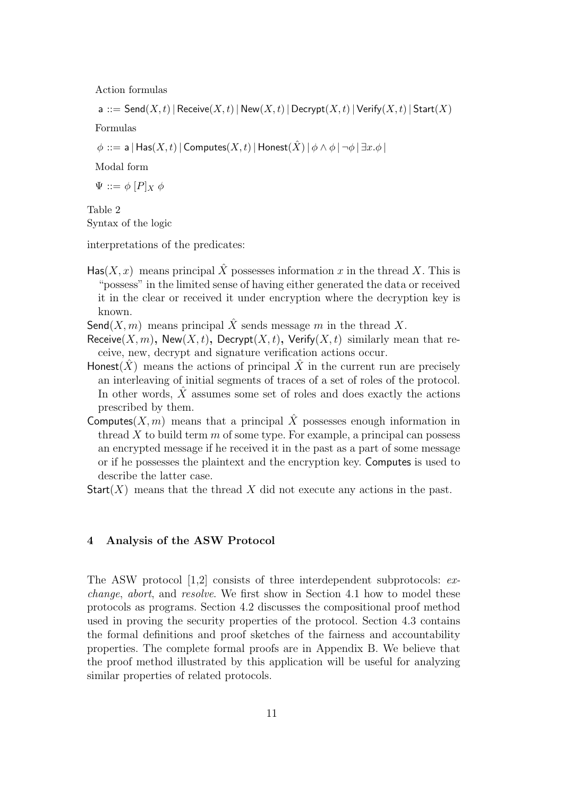Action formulas

a ::= Send $(X, t)$  | Receive $(X, t)$  | New $(X, t)$  | Decrypt $(X, t)$  | Verify $(X, t)$  | Start $(X)$ 

Formulas

 $\phi ::= \mathsf{a} \, | \, \mathsf{Has}(X, t) \, | \, \mathsf{Computes}(X, t) \, | \, \mathsf{Honest}(\hat{X}) \, | \, \phi \wedge \phi \, | \, \neg \phi \, | \, \exists x. \phi \, |$ 

Modal form

 $\Psi ::= \phi [P]_X \phi$ 

Table 2 Syntax of the logic

interpretations of the predicates:

- $\textsf{Has}(X, x)$  means principal  $\hat{X}$  possesses information x in the thread X. This is "possess" in the limited sense of having either generated the data or received it in the clear or received it under encryption where the decryption key is known.
- Send $(X, m)$  means principal  $\hat{X}$  sends message m in the thread X.
- Receive $(X, m)$ , New $(X, t)$ , Decrypt $(X, t)$ , Verify $(X, t)$  similarly mean that receive, new, decrypt and signature verification actions occur.
- Honest( $\hat{X}$ ) means the actions of principal  $\hat{X}$  in the current run are precisely an interleaving of initial segments of traces of a set of roles of the protocol. In other words,  $\hat{X}$  assumes some set of roles and does exactly the actions prescribed by them.
- Computes(X, m) means that a principal  $\hat{X}$  possesses enough information in thread  $X$  to build term  $m$  of some type. For example, a principal can possess an encrypted message if he received it in the past as a part of some message or if he possesses the plaintext and the encryption key. Computes is used to describe the latter case.
- Start(X) means that the thread X did not execute any actions in the past.

## 4 Analysis of the ASW Protocol

The ASW protocol  $[1,2]$  consists of three interdependent subprotocols: exchange, abort, and resolve. We first show in Section 4.1 how to model these protocols as programs. Section 4.2 discusses the compositional proof method used in proving the security properties of the protocol. Section 4.3 contains the formal definitions and proof sketches of the fairness and accountability properties. The complete formal proofs are in Appendix B. We believe that the proof method illustrated by this application will be useful for analyzing similar properties of related protocols.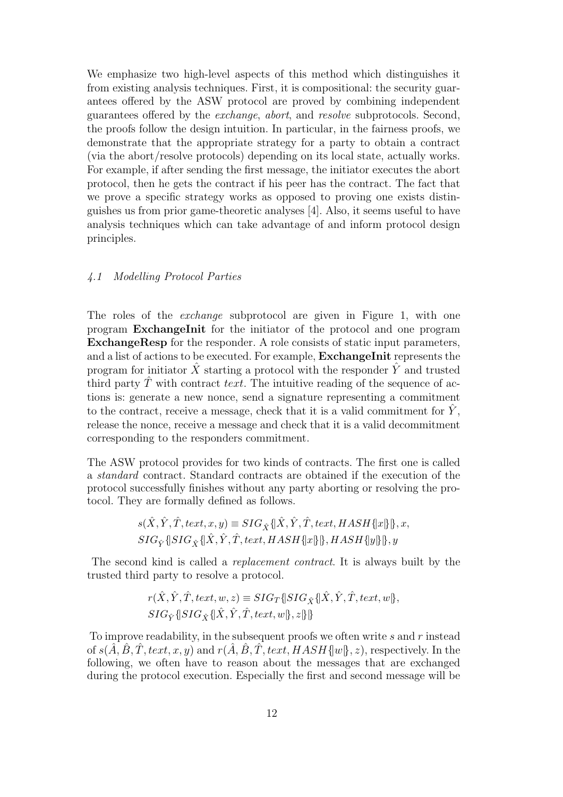We emphasize two high-level aspects of this method which distinguishes it from existing analysis techniques. First, it is compositional: the security guarantees offered by the ASW protocol are proved by combining independent guarantees offered by the exchange, abort, and resolve subprotocols. Second, the proofs follow the design intuition. In particular, in the fairness proofs, we demonstrate that the appropriate strategy for a party to obtain a contract (via the abort/resolve protocols) depending on its local state, actually works. For example, if after sending the first message, the initiator executes the abort protocol, then he gets the contract if his peer has the contract. The fact that we prove a specific strategy works as opposed to proving one exists distinguishes us from prior game-theoretic analyses [4]. Also, it seems useful to have analysis techniques which can take advantage of and inform protocol design principles.

# 4.1 Modelling Protocol Parties

The roles of the *exchange* subprotocol are given in Figure 1, with one program ExchangeInit for the initiator of the protocol and one program ExchangeResp for the responder. A role consists of static input parameters, and a list of actions to be executed. For example, ExchangeInit represents the program for initiator  $\hat{X}$  starting a protocol with the responder  $\hat{Y}$  and trusted third party  $\overline{T}$  with contract text. The intuitive reading of the sequence of actions is: generate a new nonce, send a signature representing a commitment to the contract, receive a message, check that it is a valid commitment for  $Y$ , release the nonce, receive a message and check that it is a valid decommitment corresponding to the responders commitment.

The ASW protocol provides for two kinds of contracts. The first one is called a standard contract. Standard contracts are obtained if the execution of the protocol successfully finishes without any party aborting or resolving the protocol. They are formally defined as follows.

$$
\begin{split} s(\hat{X},\hat{Y},\hat{T},text,x,y) &\equiv SIG_{\hat{X}}\{\!\!\{\hat{X},\hat{Y},\hat{T},text,HASH\{\!\!\{x\}\!\!\}\},x, \\ SIG_{\hat{Y}}\{\!\!\{SIG_{\hat{X}}\{\!\!\{\hat{X},\hat{Y},\hat{T},text,HASH\{\!\!\{x\}\!\!\}\},HASH\{\!\!\{y\}\!\!\}\},y \end{split}
$$

The second kind is called a replacement contract. It is always built by the trusted third party to resolve a protocol.

$$
\begin{split} &r(\hat{X},\hat{Y},\hat{T},text,w,z) \equiv SIG_T\{[SIG_{\hat{X}}\{\hat{X},\hat{Y},\hat{T},text,w]\}, \\ &SIG_{\hat{Y}}\{[SIG_{\hat{X}}\{\hat{X},\hat{Y},\hat{T},text,w]\},z]\}\} \end{split}
$$

To improve readability, in the subsequent proofs we often write  $s$  and  $r$  instead of  $s(\hat{A}, \hat{B}, \hat{T}, text, x, y)$  and  $r(\hat{A}, \hat{B}, \hat{T}, text, HASH$  {|w|}, z), respectively. In the following, we often have to reason about the messages that are exchanged during the protocol execution. Especially the first and second message will be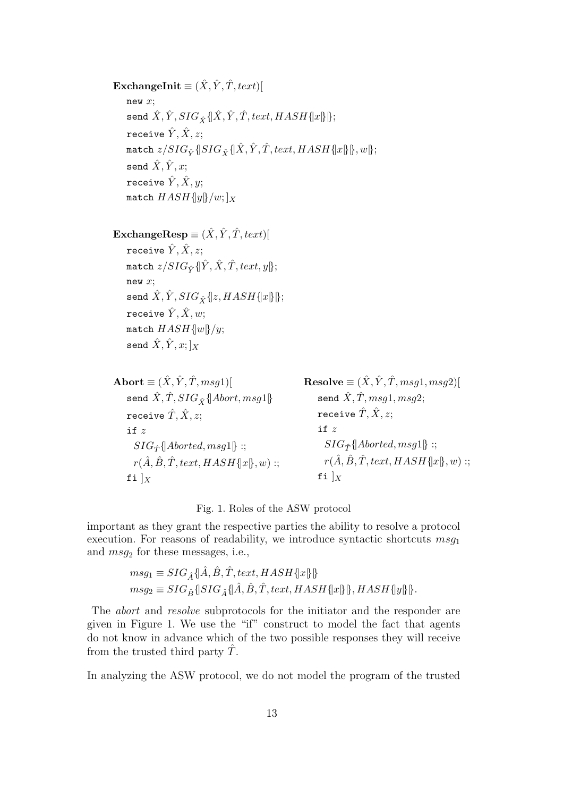ExchangeInit  $\equiv (\hat{X}, \hat{Y}, \hat{T}, text)$ new  $x$ :  $\texttt{send } \hat{X}, \hat{Y}, SIG_{\hat{X}}\{\!\!\{\hat{X}, \hat{Y}, \hat{T}, text, HASH\{\!\!\{x\}\!\!\}\};$ receive  $\hat{Y}, \hat{X}, z$ ; match  $z/SIG_{\hat{Y}}\left\{SIG_{\hat{Y}}\left\{\hat{X}, \hat{Y}, \hat{T}, text, HASH\left\{x\right\}\right\}\right\}$ ,  $w\right\};$ send  $\hat{X}, \hat{Y}, x$ : receive  $\hat{Y}, \hat{X}, y$ ; match  $HASH{||y|}/w; |X$ 

```
ExchangeResp \equiv (\hat{X}, \hat{Y}, \hat{T}, text)receive \hat{Y}, \hat{X}, z;
    match z/SIG_{\hat{Y}}{\hat{Y}, \hat{X}, \hat{T}, text, y}new x;
    send \hat{X}, \hat{Y}, SIG_{\hat{X}}\{[z, HASH\{]\}| \};receive \hat{Y}, \hat{X}, w;
    match HASH{w}{v;
    send \hat{X}, \hat{Y}, x; |x
```
Abort  $\equiv (\hat{X}, \hat{Y}, \hat{T}, msq1)$ [ send  $\hat{X}, \hat{T}, SIG_{\hat{X}}\{\vert{Abort}, msg1\}$ receive  $\hat{T}, \hat{X}, z$ ; if z  $SIG_{\hat{\tau}}\{Aborted, msg1\}$ :;  $r(\hat{A}, \hat{B}, \hat{T}, text, HASH\{x\}, w)$ : fi  $\vert_X$  $\textbf{Resolve} \equiv (\hat{X}, \hat{Y}, \hat{T}, msg1, msg2)$ send  $\hat{X}, \hat{T}$ , msq1, msq2; receive  $\hat{T}, \hat{X}, z$ ; if z  $SIG_{\hat{\tau}}\{Aborted, msg1\}$ :  $r(\hat{A}, \hat{B}, \hat{T}, text, HASH\{x\}, w)$ :; fi  $\vert x \vert$ 

Fig. 1. Roles of the ASW protocol

important as they grant the respective parties the ability to resolve a protocol execution. For reasons of readability, we introduce syntactic shortcuts  $msg_1$ and  $msg_2$  for these messages, i.e.,

$$
\begin{aligned} msg_1 &\equiv SIG_{\hat{A}}\{\!\!\{\hat{A},\hat{B},\hat{T},text\{textHASH}\{\!\!\{x\}\!\!\}\}\ &\\ msg_2 &\equiv SIG_{\hat{B}}\{\!\!\{SIG_{\hat{A}}\{\!\!\{\hat{A},\hat{B},\hat{T},text\{textHASH}\{\!\!\{x\}\!\!\}\}\},\text{HASH}\{\!\!\{y\}\!\!\}\}. \end{aligned}
$$

The *abort* and *resolve* subprotocols for the initiator and the responder are given in Figure 1. We use the "if" construct to model the fact that agents do not know in advance which of the two possible responses they will receive from the trusted third party  $\hat{T}$ .

In analyzing the ASW protocol, we do not model the program of the trusted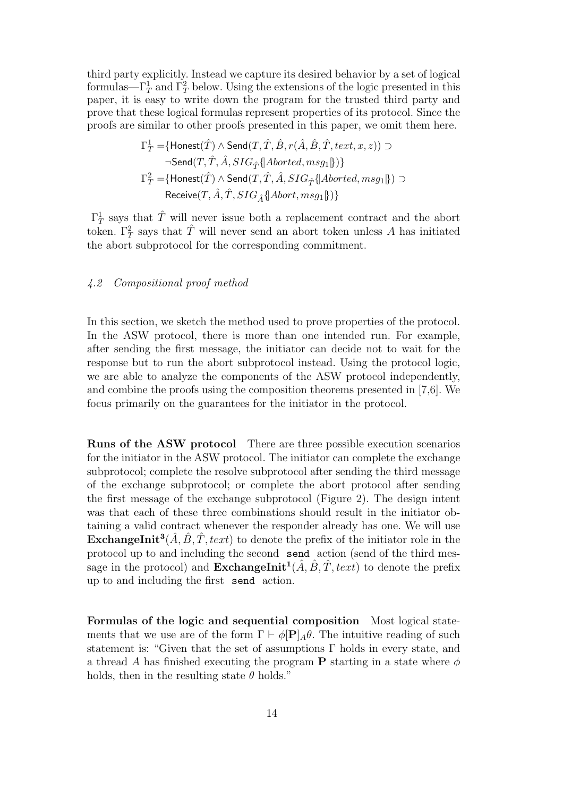third party explicitly. Instead we capture its desired behavior by a set of logical formulas— $\Gamma_T^1$  and  $\Gamma_T^2$  below. Using the extensions of the logic presented in this paper, it is easy to write down the program for the trusted third party and prove that these logical formulas represent properties of its protocol. Since the proofs are similar to other proofs presented in this paper, we omit them here.

$$
\begin{aligned} \Gamma^1_T = & \{ \mathsf{Honest}(\hat{T}) \wedge \mathsf{Send}(T, \hat{T}, \hat{B}, r(\hat{A}, \hat{B}, \hat{T}, text, x, z)) \supset \\ \neg \mathsf{Send}(T, \hat{T}, \hat{A}, SIG_{\hat{T}}\{\mathit{Aborted}, msg_1]\}) \} \\ \Gamma^2_T = & \{ \mathsf{Honest}(\hat{T}) \wedge \mathsf{Send}(T, \hat{T}, \hat{A}, SIG_{\hat{T}}\{\mathit{Aborted}, msg_1]\}) \supset \\ & \mathsf{Receive}(T, \hat{A}, \hat{T}, SIG_{\hat{A}}\{\mathit{Abort}, msg_1]\}) \} \end{aligned}
$$

 $\Gamma_T^1$  says that  $\hat{T}$  will never issue both a replacement contract and the abort token.  $\Gamma_T^2$  says that  $\hat{T}$  will never send an abort token unless A has initiated the abort subprotocol for the corresponding commitment.

#### 4.2 Compositional proof method

In this section, we sketch the method used to prove properties of the protocol. In the ASW protocol, there is more than one intended run. For example, after sending the first message, the initiator can decide not to wait for the response but to run the abort subprotocol instead. Using the protocol logic, we are able to analyze the components of the ASW protocol independently, and combine the proofs using the composition theorems presented in [7,6]. We focus primarily on the guarantees for the initiator in the protocol.

Runs of the ASW protocol There are three possible execution scenarios for the initiator in the ASW protocol. The initiator can complete the exchange subprotocol; complete the resolve subprotocol after sending the third message of the exchange subprotocol; or complete the abort protocol after sending the first message of the exchange subprotocol (Figure 2). The design intent was that each of these three combinations should result in the initiator obtaining a valid contract whenever the responder already has one. We will use **ExchangeInit**<sup>3</sup>( $\hat{A}, \hat{B}, \hat{T}, text$ ) to denote the prefix of the initiator role in the protocol up to and including the second send action (send of the third message in the protocol) and  $\overline{\text{ExchangeInit}^1}(\hat{A}, \hat{B}, \hat{T}, text)$  to denote the prefix up to and including the first send action.

Formulas of the logic and sequential composition Most logical statements that we use are of the form  $\Gamma \vdash \phi[\mathbf{P}]_A \theta$ . The intuitive reading of such statement is: "Given that the set of assumptions Γ holds in every state, and a thread A has finished executing the program **P** starting in a state where  $\phi$ holds, then in the resulting state  $\theta$  holds."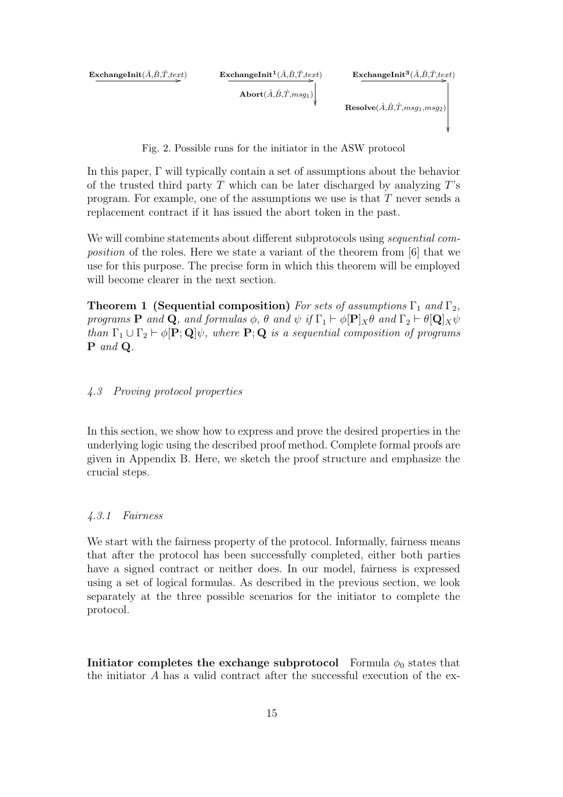$\textbf{ExchangeInit}(\hat{A}, \hat{B}, \hat{T}, text)$ 

| ExchangeInit <sup>1</sup> ( $\hat{A}, \hat{B}, \hat{T}, text$ ) | ExchangeInit <sup>3</sup> ( $\hat{A}, \hat{B}, \hat{T}, text$ ) |
|-----------------------------------------------------------------|-----------------------------------------------------------------|
| Abort( $\hat{A}, \hat{B}, \hat{T}, msg_1$ )                     | Resolve( $\hat{A}, \hat{B}, \hat{T}, msg_1, msg_2$ )            |

²²

Fig. 2. Possible runs for the initiator in the ASW protocol

In this paper, Γ will typically contain a set of assumptions about the behavior of the trusted third party  $T$  which can be later discharged by analyzing  $T$ 's program. For example, one of the assumptions we use is that T never sends a replacement contract if it has issued the abort token in the past.

We will combine statements about different subprotocols using *sequential com*position of the roles. Here we state a variant of the theorem from [6] that we use for this purpose. The precise form in which this theorem will be employed will become clearer in the next section.

**Theorem 1 (Sequential composition)** For sets of assumptions  $\Gamma_1$  and  $\Gamma_2$ , programs **P** and **Q**, and formulas  $\phi$ ,  $\theta$  and  $\psi$  if  $\Gamma_1 \vdash \phi[\mathbf{P}]_X \theta$  and  $\Gamma_2 \vdash \theta[\mathbf{Q}]_X \psi$ than  $\Gamma_1 \cup \Gamma_2 \vdash \phi[\mathbf{P}; \mathbf{Q}]\psi$ , where  $\mathbf{P}; \mathbf{Q}$  is a sequential composition of programs P and Q.

## 4.3 Proving protocol properties

In this section, we show how to express and prove the desired properties in the underlying logic using the described proof method. Complete formal proofs are given in Appendix B. Here, we sketch the proof structure and emphasize the crucial steps.

#### 4.3.1 Fairness

We start with the fairness property of the protocol. Informally, fairness means that after the protocol has been successfully completed, either both parties have a signed contract or neither does. In our model, fairness is expressed using a set of logical formulas. As described in the previous section, we look separately at the three possible scenarios for the initiator to complete the protocol.

Initiator completes the exchange subprotocol Formula  $\phi_0$  states that the initiator A has a valid contract after the successful execution of the ex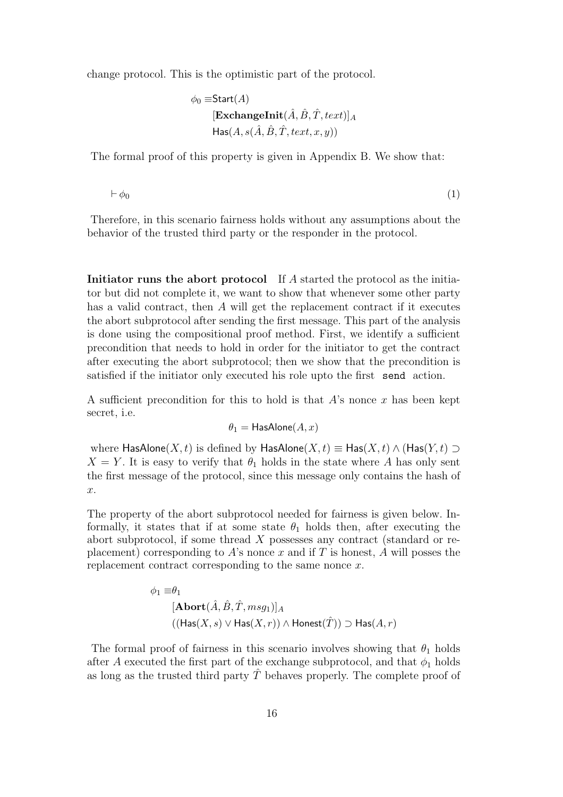change protocol. This is the optimistic part of the protocol.

$$
\phi_0 \equiv \text{Start}(A)
$$
  
\n
$$
[\text{ExchangeInit}(\hat{A}, \hat{B}, \hat{T}, text)]_A
$$
  
\n
$$
\text{Has}(A, s(\hat{A}, \hat{B}, \hat{T}, text, x, y))
$$

The formal proof of this property is given in Appendix B. We show that:

 $\vdash \phi_0$  (1)

Therefore, in this scenario fairness holds without any assumptions about the behavior of the trusted third party or the responder in the protocol.

Initiator runs the abort protocol If A started the protocol as the initiator but did not complete it, we want to show that whenever some other party has a valid contract, then A will get the replacement contract if it executes the abort subprotocol after sending the first message. This part of the analysis is done using the compositional proof method. First, we identify a sufficient precondition that needs to hold in order for the initiator to get the contract after executing the abort subprotocol; then we show that the precondition is satisfied if the initiator only executed his role upto the first send action.

A sufficient precondition for this to hold is that  $A$ 's nonce x has been kept secret, i.e.

$$
\theta_1 = \mathsf{HasAlone}(A,x)
$$

where HasAlone(X, t) is defined by HasAlone(X, t)  $\equiv$  Has(X, t)  $\wedge$  (Has(Y, t)  $\supset$  $X = Y$ . It is easy to verify that  $\theta_1$  holds in the state where A has only sent the first message of the protocol, since this message only contains the hash of  $x$ .

The property of the abort subprotocol needed for fairness is given below. Informally, it states that if at some state  $\theta_1$  holds then, after executing the abort subprotocol, if some thread X possesses any contract (standard or replacement) corresponding to A's nonce x and if T is honest, A will posses the replacement contract corresponding to the same nonce x.

$$
\phi_1 \equiv \theta_1
$$
  
\n[**Abort**( $\hat{A}, \hat{B}, \hat{T}, msg_1$ )]<sub>A</sub>  
\n(( $\text{Has}(X, s) \lor \text{Has}(X, r)$ )  $\land \text{Honest}(\hat{T})$ )  $\supset \text{Has}(A, r)$ 

The formal proof of fairness in this scenario involves showing that  $\theta_1$  holds after A executed the first part of the exchange subprotocol, and that  $\phi_1$  holds as long as the trusted third party  $\bar{T}$  behaves properly. The complete proof of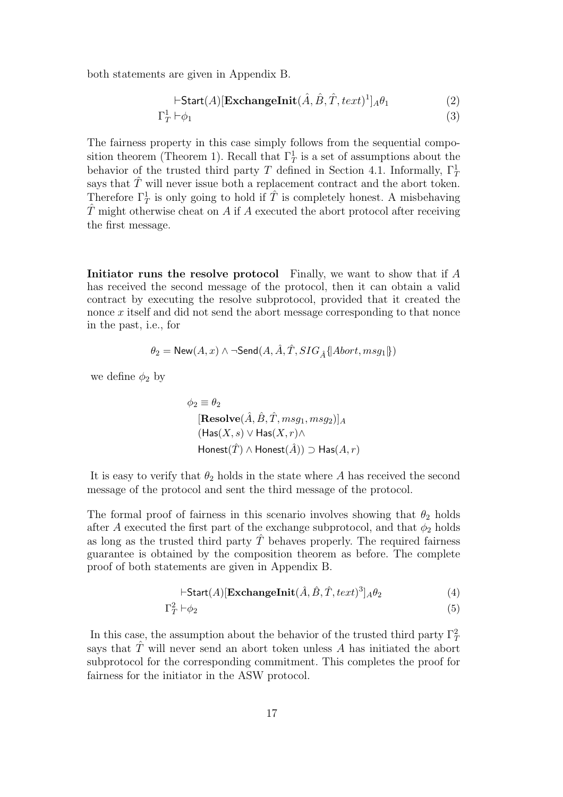both statements are given in Appendix B.

$$
\vdash \mathsf{Start}(A)[\mathbf{ExchangeInit}(\hat{A}, \hat{B}, \hat{T}, text)^1]_A \theta_1
$$
\n
$$
\Gamma^1 \vdash \mathcal{A}
$$
\n(2)

$$
\Gamma_T^1 \vdash \phi_1 \tag{3}
$$

The fairness property in this case simply follows from the sequential composition theorem (Theorem 1). Recall that  $\Gamma_T^1$  is a set of assumptions about the behavior of the trusted third party T defined in Section 4.1. Informally,  $\Gamma_T^1$ says that  $\hat{T}$  will never issue both a replacement contract and the abort token. Therefore  $\Gamma_T^1$  is only going to hold if  $\hat{T}$  is completely honest. A misbehaving  $T$  might otherwise cheat on  $A$  if  $A$  executed the abort protocol after receiving the first message.

Initiator runs the resolve protocol Finally, we want to show that if A has received the second message of the protocol, then it can obtain a valid contract by executing the resolve subprotocol, provided that it created the nonce x itself and did not send the abort message corresponding to that nonce in the past, i.e., for

$$
\theta_2 = \mathsf{New}(A,x) \land \neg \mathsf{Send}(A,\hat{A},\hat{T},SIG_{\hat{A}}\{\vert{Abort}, msg_1\} )
$$

we define  $\phi_2$  by

$$
\phi_2 \equiv \theta_2
$$
\n[Resolve( $\hat{A}, \hat{B}, \hat{T}, msg_1, msg_2$ )]<sub>A</sub>  
\n
$$
(\text{Has}(X, s) \lor \text{Has}(X, r) \land
$$
\n
$$
\text{Honest}(\hat{T}) \land \text{Honest}(\hat{A}) \supset \text{Has}(A, r)
$$

It is easy to verify that  $\theta_2$  holds in the state where A has received the second message of the protocol and sent the third message of the protocol.

The formal proof of fairness in this scenario involves showing that  $\theta_2$  holds after A executed the first part of the exchange subprotocol, and that  $\phi_2$  holds as long as the trusted third party  $\hat{T}$  behaves properly. The required fairness guarantee is obtained by the composition theorem as before. The complete proof of both statements are given in Appendix B.

$$
\vdash \mathsf{Start}(A)[\mathbf{ExchangeInit}(\hat{A}, \hat{B}, \hat{T}, text)^3]_A \theta_2 \tag{4}
$$

$$
\Gamma_T^2 \vdash \phi_2 \tag{5}
$$

In this case, the assumption about the behavior of the trusted third party  $\Gamma_T^2$ says that  $\hat{T}$  will never send an abort token unless A has initiated the abort subprotocol for the corresponding commitment. This completes the proof for fairness for the initiator in the ASW protocol.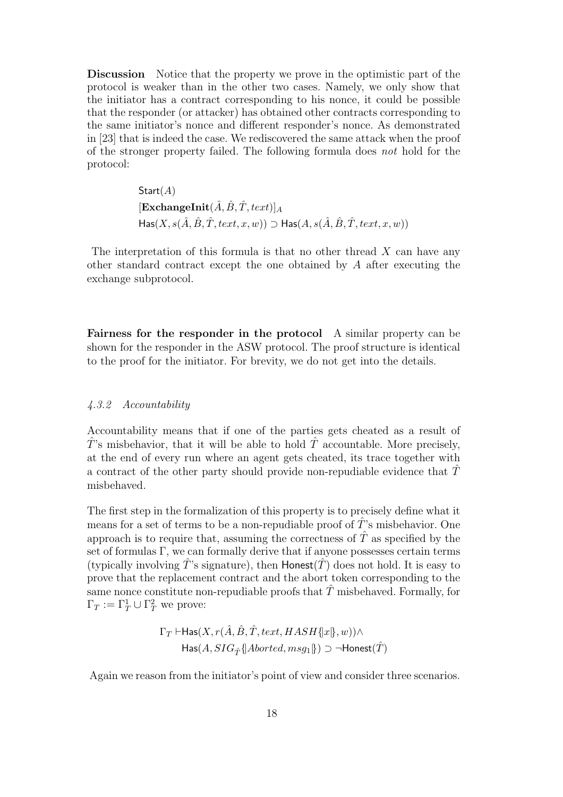Discussion Notice that the property we prove in the optimistic part of the protocol is weaker than in the other two cases. Namely, we only show that the initiator has a contract corresponding to his nonce, it could be possible that the responder (or attacker) has obtained other contracts corresponding to the same initiator's nonce and different responder's nonce. As demonstrated in [23] that is indeed the case. We rediscovered the same attack when the proof of the stronger property failed. The following formula does not hold for the protocol:

> $Start(A)$  $[\textbf{ExchangeInit}(\hat{A}, \hat{B}, \hat{T}, text)]_A$  $\textsf{Has}(X, s(\hat{A}, \hat{B}, \hat{T}, text, x, w)) \supset \textsf{Has}(A, s(\hat{A}, \hat{B}, \hat{T}, text, x, w))$

The interpretation of this formula is that no other thread  $X$  can have any other standard contract except the one obtained by A after executing the exchange subprotocol.

Fairness for the responder in the protocol A similar property can be shown for the responder in the ASW protocol. The proof structure is identical to the proof for the initiator. For brevity, we do not get into the details.

## 4.3.2 Accountability

Accountability means that if one of the parties gets cheated as a result of  $T$ 's misbehavior, that it will be able to hold  $T$  accountable. More precisely, at the end of every run where an agent gets cheated, its trace together with a contract of the other party should provide non-repudiable evidence that  $\hat{T}$ misbehaved.

The first step in the formalization of this property is to precisely define what it means for a set of terms to be a non-repudiable proof of  $\hat{T}$ 's misbehavior. One approach is to require that, assuming the correctness of  $\hat{T}$  as specified by the set of formulas Γ, we can formally derive that if anyone possesses certain terms (typically involving  $\hat{T}$ 's signature), then  $\text{Honest}(\hat{T})$  does not hold. It is easy to prove that the replacement contract and the abort token corresponding to the same nonce constitute non-repudiable proofs that  $\hat{T}$  misbehaved. Formally, for  $\Gamma_T := \Gamma_T^1 \cup \Gamma_T^2$  we prove:

$$
\begin{aligned} \Gamma_T \vdash & \mathsf{Has}(X,r(\hat{A},\hat{B},\hat{T},text, HASH\{\!\mid\! x\!\!\mid\!\},w)) \wedge \\ & \mathsf{Has}(A, SIG_{\hat{T}}\{\!\mid\! Aborted, msg_1\!\!\mid\!\}) \supset \neg \mathsf{Honest}(\hat{T}) \end{aligned}
$$

Again we reason from the initiator's point of view and consider three scenarios.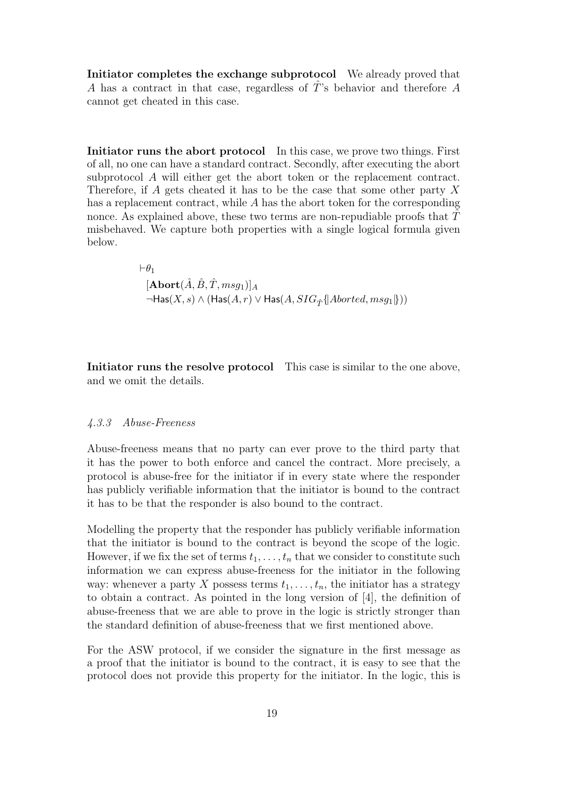Initiator completes the exchange subprotocol We already proved that A has a contract in that case, regardless of  $\hat{T}$ 's behavior and therefore A cannot get cheated in this case.

Initiator runs the abort protocol In this case, we prove two things. First of all, no one can have a standard contract. Secondly, after executing the abort subprotocol A will either get the abort token or the replacement contract. Therefore, if A gets cheated it has to be the case that some other party X has a replacement contract, while A has the abort token for the corresponding nonce. As explained above, these two terms are non-repudiable proofs that  $T^{\dagger}$ misbehaved. We capture both properties with a single logical formula given below.

> $\vdash \theta_1$  $[\textbf{Abort}(\hat{A}, \hat{B}, \hat{T}, msg_1)]_A$  $\neg Has(X, s) \land (Has(A, r) \lor Has(A, SIG_{\hat{T}}[Aborted, msg_1]))$

Initiator runs the resolve protocol This case is similar to the one above, and we omit the details.

## 4.3.3 Abuse-Freeness

Abuse-freeness means that no party can ever prove to the third party that it has the power to both enforce and cancel the contract. More precisely, a protocol is abuse-free for the initiator if in every state where the responder has publicly verifiable information that the initiator is bound to the contract it has to be that the responder is also bound to the contract.

Modelling the property that the responder has publicly verifiable information that the initiator is bound to the contract is beyond the scope of the logic. However, if we fix the set of terms  $t_1, \ldots, t_n$  that we consider to constitute such information we can express abuse-freeness for the initiator in the following way: whenever a party X possess terms  $t_1, \ldots, t_n$ , the initiator has a strategy to obtain a contract. As pointed in the long version of [4], the definition of abuse-freeness that we are able to prove in the logic is strictly stronger than the standard definition of abuse-freeness that we first mentioned above.

For the ASW protocol, if we consider the signature in the first message as a proof that the initiator is bound to the contract, it is easy to see that the protocol does not provide this property for the initiator. In the logic, this is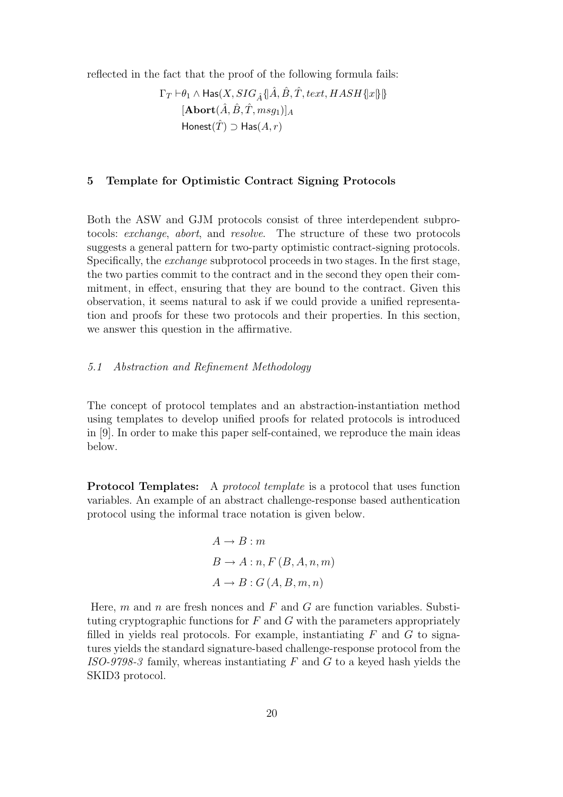reflected in the fact that the proof of the following formula fails:

$$
\begin{aligned} \Gamma_T \vdash & \theta_1 \wedge \mathsf{Has}(X, SIG_{\hat{A}}\{\!\!\{\hat{A}, \hat{B}, \hat{T}, text, HASH\{\!\!\{x\}\!\!\}\}\!\} \\ & \quad [\mathbf{Abort}(\hat{A}, \hat{B}, \hat{T}, msg_1)]_A \\ & \quad \mathsf{Honest}(\hat{T}) \supset \mathsf{Has}(A, r) \end{aligned}
$$

# 5 Template for Optimistic Contract Signing Protocols

Both the ASW and GJM protocols consist of three interdependent subprotocols: exchange, abort, and resolve. The structure of these two protocols suggests a general pattern for two-party optimistic contract-signing protocols. Specifically, the exchange subprotocol proceeds in two stages. In the first stage, the two parties commit to the contract and in the second they open their commitment, in effect, ensuring that they are bound to the contract. Given this observation, it seems natural to ask if we could provide a unified representation and proofs for these two protocols and their properties. In this section, we answer this question in the affirmative.

# 5.1 Abstraction and Refinement Methodology

The concept of protocol templates and an abstraction-instantiation method using templates to develop unified proofs for related protocols is introduced in [9]. In order to make this paper self-contained, we reproduce the main ideas below.

**Protocol Templates:** A protocol template is a protocol that uses function variables. An example of an abstract challenge-response based authentication protocol using the informal trace notation is given below.

$$
A \rightarrow B : m
$$
  

$$
B \rightarrow A : n, F (B, A, n, m)
$$
  

$$
A \rightarrow B : G (A, B, m, n)
$$

Here,  $m$  and  $n$  are fresh nonces and  $F$  and  $G$  are function variables. Substituting cryptographic functions for  $F$  and  $G$  with the parameters appropriately filled in yields real protocols. For example, instantiating  $F$  and  $G$  to signatures yields the standard signature-based challenge-response protocol from the ISO-9798-3 family, whereas instantiating  $F$  and  $G$  to a keyed hash yields the SKID3 protocol.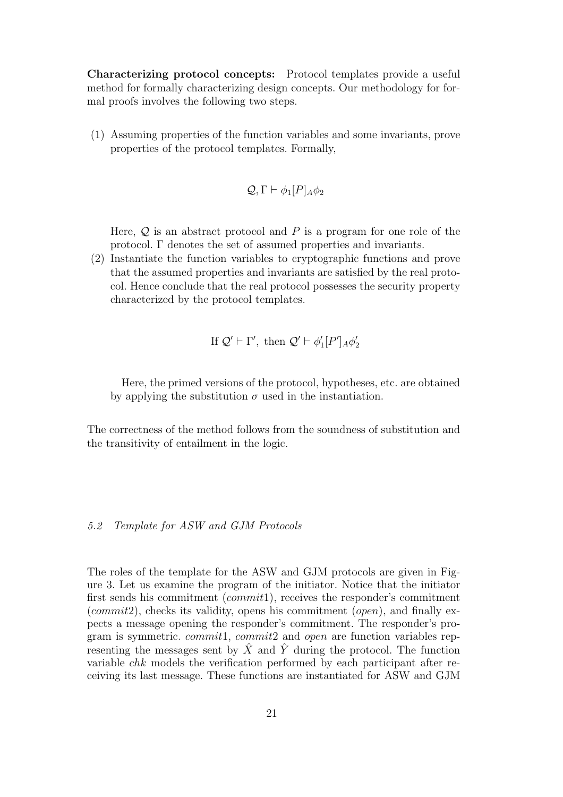Characterizing protocol concepts: Protocol templates provide a useful method for formally characterizing design concepts. Our methodology for formal proofs involves the following two steps.

(1) Assuming properties of the function variables and some invariants, prove properties of the protocol templates. Formally,

$$
\mathcal{Q}, \Gamma \vdash \phi_1[P]_A \phi_2
$$

Here,  $Q$  is an abstract protocol and P is a program for one role of the protocol. Γ denotes the set of assumed properties and invariants.

(2) Instantiate the function variables to cryptographic functions and prove that the assumed properties and invariants are satisfied by the real protocol. Hence conclude that the real protocol possesses the security property characterized by the protocol templates.

If 
$$
Q' \vdash \Gamma'
$$
, then  $Q' \vdash \phi'_1[P']_A \phi'_2$ 

Here, the primed versions of the protocol, hypotheses, etc. are obtained by applying the substitution  $\sigma$  used in the instantiation.

The correctness of the method follows from the soundness of substitution and the transitivity of entailment in the logic.

## 5.2 Template for ASW and GJM Protocols

The roles of the template for the ASW and GJM protocols are given in Figure 3. Let us examine the program of the initiator. Notice that the initiator first sends his commitment  $(commit)$ , receives the responder's commitment  $(commit2)$ , checks its validity, opens his commitment  $(open)$ , and finally expects a message opening the responder's commitment. The responder's program is symmetric. *commit1*, *commit2* and *open* are function variables representing the messages sent by  $\hat{X}$  and  $\hat{Y}$  during the protocol. The function variable chk models the verification performed by each participant after receiving its last message. These functions are instantiated for ASW and GJM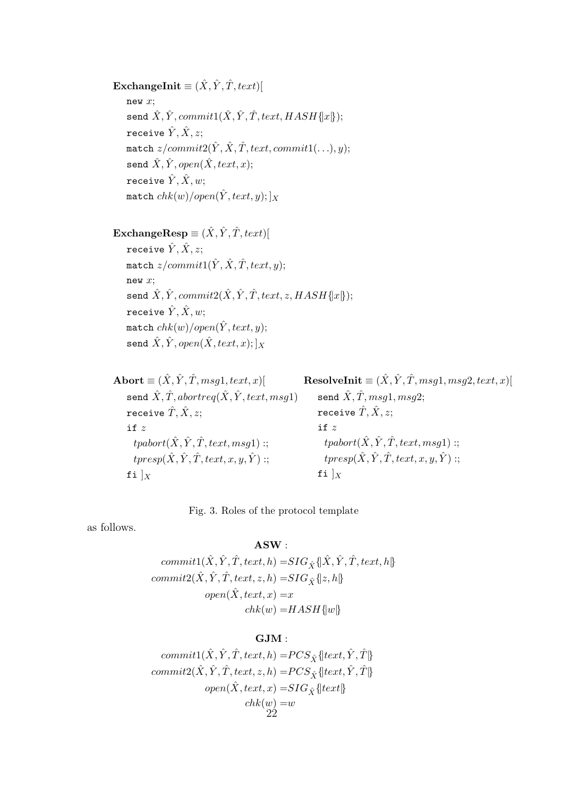ExchangeInit  $\equiv (\hat{X}, \hat{Y}, \hat{T}, text)$ new  $x$ : send  $\hat{X}, \hat{Y}, committ(\hat{X}, \hat{Y}, \hat{T}, text, HASH\{x\});$ receive  $\hat{Y}, \hat{X}, z;$ match  $z/commit2(\hat{Y}, \hat{X}, \hat{T}, text, commit1(...), y);$ send  $\hat{X}, \hat{Y}, open(\hat{X}, text, x);$ receive  $\hat{Y}, \hat{X}, w$ ; match  $chk(w)/open(\hat{Y}, text, y);$ 

ExchangeResp  $\equiv (\hat{X}, \hat{Y}, \hat{T}, text)$ receive  $\hat{Y}, \hat{X}, z$ : match  $z/commit1(\hat{Y}, \hat{X}, \hat{T}, text, y)$ ; new  $x$ : send  $\hat{X}, \hat{Y}, commit2(\hat{X}, \hat{Y}, \hat{T}, text, z, HASH\{x\});$ receive  $\hat{Y}, \hat{X}, w$ ; match  $chk(w)/open(\hat{Y}, text, y)$ ; send  $\hat{X}, \hat{Y}, open(\hat{X}, text, x); |X$ 

Abort  $\equiv (\hat{X}, \hat{Y}, \hat{T}, msq1, text, x)$ send  $\hat{X}, \hat{T}$ , abortreq $(\hat{X}, \hat{Y}, text, msg1)$ receive  $\hat{T}, \hat{X}, z$ : if z  $tpabort(\hat{X}, \hat{Y}, \hat{T}, text, msg1)$ :  $tpresp(\hat{X}, \hat{Y}, \hat{T}, text, x, y, \hat{Y})$ :; fi  $\vert_X$ ResolveInit  $\equiv (\hat{X}, \hat{Y}, \hat{T}, msg1, msg2, text, x)$ send  $\hat{X}, \hat{T}, msg1, msg2;$ receive  $\hat{T}, \hat{X}, z$ ; if z  $tpabort(\hat{X}, \hat{Y}, \hat{T}, text, msa1)$ :  $tpresp(\hat{X}, \hat{Y}, \hat{T}, text, x, y, \hat{Y})$ : fi  $\vert x \vert$ 

Fig. 3. Roles of the protocol template

as follows.

# ASW :

 $commit1(\hat{X},\hat{Y},\hat{T},text, h)=SIG_{\hat{X}}\{\mid\!\hat{X},\hat{Y},\hat{T},text, h\}$  $commit2(\hat{X}, \hat{Y}, \hat{T}, text, z, h) = SIG_{\hat{X}}\{[z, h]\}$  $open(X, text, x) = x$  $chk(w) = HASH$ {|w|}

# GJM :

 $commit1(\hat{X}, \hat{Y}, \hat{T}, text, h) = PCS_{\hat{X}}\{text{let}, \hat{Y}, \hat{T}\}$  $commit2(\hat{X}, \hat{Y}, \hat{T}, text, z, h) = PCS_{\hat{X}} \{ text, \hat{Y}, \hat{T}\}$  $open(\hat{X}, text, x) = SIG_{\hat{X}}\{\mid text\}$  $chk(w) = w$  $2\acute{2}$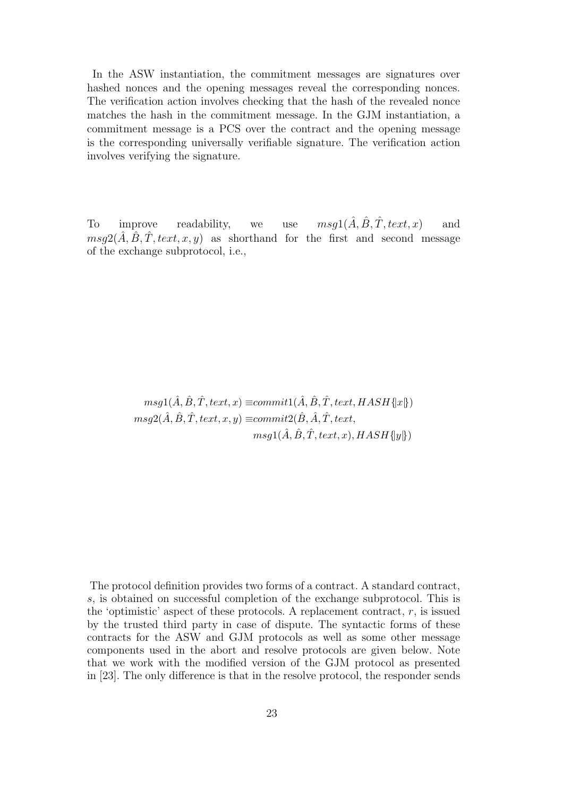In the ASW instantiation, the commitment messages are signatures over hashed nonces and the opening messages reveal the corresponding nonces. The verification action involves checking that the hash of the revealed nonce matches the hash in the commitment message. In the GJM instantiation, a commitment message is a PCS over the contract and the opening message is the corresponding universally verifiable signature. The verification action involves verifying the signature.

To improve readability, we use  $msq1(\hat{A}, \hat{B}, \hat{T}, text, x)$  and  $msg2(\hat{A}, \hat{B}, \hat{T}, text, x, y)$  as shorthand for the first and second message of the exchange subprotocol, i.e.,

> $msg1(\hat{A}, \hat{B}, \hat{T}, text, x) \equiv committ1(\hat{A}, \hat{B}, \hat{T}, text, HASH\{|x\}\)$  $msg2(\hat{A}, \hat{B}, \hat{T}, text, x, y) \equiv commit2(\hat{B}, \hat{A}, \hat{T}, text,$  $msq1(\hat{A}, \hat{B}, \hat{T}, text, x), HASH\{|y|\})$

The protocol definition provides two forms of a contract. A standard contract, s, is obtained on successful completion of the exchange subprotocol. This is the 'optimistic' aspect of these protocols. A replacement contract,  $r$ , is issued by the trusted third party in case of dispute. The syntactic forms of these contracts for the ASW and GJM protocols as well as some other message components used in the abort and resolve protocols are given below. Note that we work with the modified version of the GJM protocol as presented in [23]. The only difference is that in the resolve protocol, the responder sends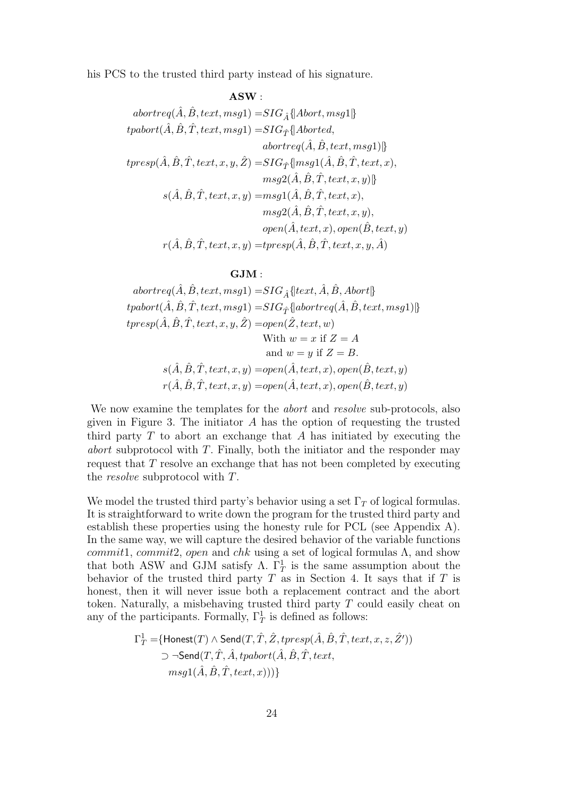his PCS to the trusted third party instead of his signature.

ASW :

 $abortreq(\hat{A}, \hat{B}, text, msg1) = SIG_{\hat{A}}\{Abort, msg1\}$  $tpabort(\hat{A}, \hat{B}, \hat{T}, text, msg1)=SIG_{\hat{T}}\{Aborted,$  $abortreq(\hat{A}, \hat{B}, text, msg1)|$  $tpresp(\hat{A}, \hat{B}, \hat{T}, text, x, y, \hat{Z}) = SIG_{\hat{T}}\{msg1(\hat{A}, \hat{B}, \hat{T}, text, x),\}$  $msg2(\hat{A}, \hat{B}, \hat{T}, text, x, y)$  $s(\hat{A}, \hat{B}, \hat{T}, text, x, y) = msq1(\hat{A}, \hat{B}, \hat{T}, text, x),$  $msa2(\hat{A}, \hat{B}, \hat{T}, text, x, y),$  $open(\hat{A}, text, x), open(\hat{B}, text, y)$  $r(\hat{A}, \hat{B}, \hat{T}, text, x, y) =$ tpresp $(\hat{A}, \hat{B}, \hat{T}, text, x, y, \hat{A})$ 

# GJM :

 $abortreq(\hat{A}, \hat{B}, text, msg1) = SIG_{\hat{A}}\{text, } \hat{A}, \hat{B}, About\}$  $tpabort(\hat{A}, \hat{B}, \hat{T}, text, msg 1) = SIG_{\hat{T}}\{\mid abortreq(\hat{A}, \hat{B}, text, msg 1)\}\}\$  $tpresp(\hat{A}, \hat{B}, \hat{T}, text, x, y, \hat{Z}) = open(\hat{Z}, text, w)$ With  $w = x$  if  $Z = A$ and  $w = y$  if  $Z = B$ .  $s(\hat{A}, \hat{B}, \hat{T}, text, x, y) = open(\hat{A}, text, x), open(\hat{B}, text, y)$  $r(\hat{A}, \hat{B}, \hat{T}, text, x, y) = open(\hat{A}, text, x), open(\hat{B}, text, y)$ 

We now examine the templates for the *abort* and *resolve* sub-protocols, also given in Figure 3. The initiator  $A$  has the option of requesting the trusted third party  $T$  to abort an exchange that  $A$  has initiated by executing the abort subprotocol with  $T$ . Finally, both the initiator and the responder may request that T resolve an exchange that has not been completed by executing the resolve subprotocol with T.

We model the trusted third party's behavior using a set  $\Gamma_T$  of logical formulas. It is straightforward to write down the program for the trusted third party and establish these properties using the honesty rule for PCL (see Appendix A). In the same way, we will capture the desired behavior of the variable functions commit1, commit2, open and chk using a set of logical formulas  $\Lambda$ , and show that both ASW and GJM satisfy  $\Lambda$ .  $\Gamma^1_T$  is the same assumption about the behavior of the trusted third party  $T$  as in Section 4. It says that if  $T$  is honest, then it will never issue both a replacement contract and the abort token. Naturally, a misbehaving trusted third party T could easily cheat on any of the participants. Formally,  $\Gamma_T^1$  is defined as follows:

$$
\Gamma^1_T = \{ \text{Honest}(T) \land \text{Send}(T, \hat{T}, \hat{Z}, \text{typesp}(\hat{A}, \hat{B}, \hat{T}, \text{text}, x, z, \hat{Z}')) \}
$$
  
\n
$$
\supset \neg \text{Send}(T, \hat{T}, \hat{A}, \text{tpabort}(\hat{A}, \hat{B}, \hat{T}, \text{text}, \text{text}, \text{text}, \text{msg1}(\hat{A}, \hat{B}, \hat{T}, \text{text}, x)))) \}
$$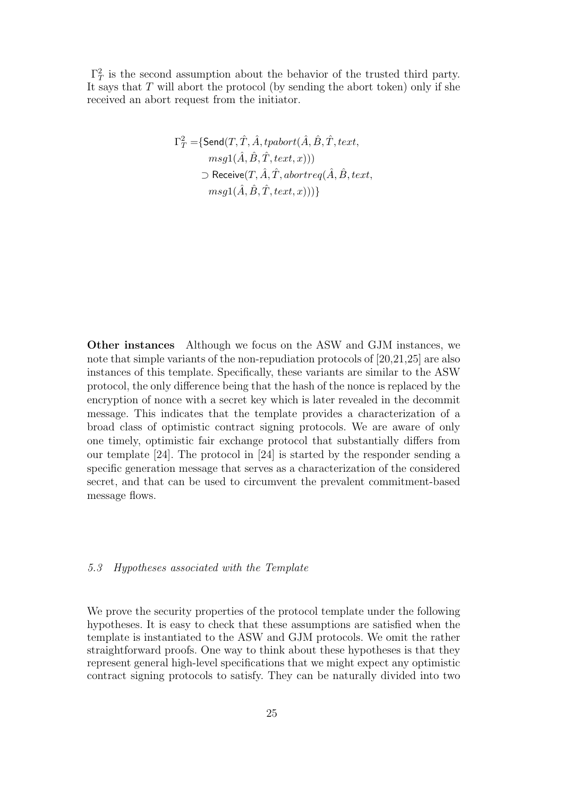$\Gamma_T^2$  is the second assumption about the behavior of the trusted third party. It says that  $T$  will abort the protocol (by sending the abort token) only if she received an abort request from the initiator.

$$
\Gamma^2_T = \{ \textsf{Send}(T, \hat{T}, \hat{A}, tpabort(\hat{A}, \hat{B}, \hat{T}, text, \text{msg1}(\hat{A}, \hat{B}, \hat{T}, text, x))) \}
$$
  
\n
$$
\supset \textsf{Receive}(T, \hat{A}, \hat{T}, abortreq(\hat{A}, \hat{B}, text, \text{msg1}(\hat{A}, \hat{B}, \hat{T}, text, x))) \}
$$

Other instances Although we focus on the ASW and GJM instances, we note that simple variants of the non-repudiation protocols of [20,21,25] are also instances of this template. Specifically, these variants are similar to the ASW protocol, the only difference being that the hash of the nonce is replaced by the encryption of nonce with a secret key which is later revealed in the decommit message. This indicates that the template provides a characterization of a broad class of optimistic contract signing protocols. We are aware of only one timely, optimistic fair exchange protocol that substantially differs from our template [24]. The protocol in [24] is started by the responder sending a specific generation message that serves as a characterization of the considered secret, and that can be used to circumvent the prevalent commitment-based message flows.

#### 5.3 Hypotheses associated with the Template

We prove the security properties of the protocol template under the following hypotheses. It is easy to check that these assumptions are satisfied when the template is instantiated to the ASW and GJM protocols. We omit the rather straightforward proofs. One way to think about these hypotheses is that they represent general high-level specifications that we might expect any optimistic contract signing protocols to satisfy. They can be naturally divided into two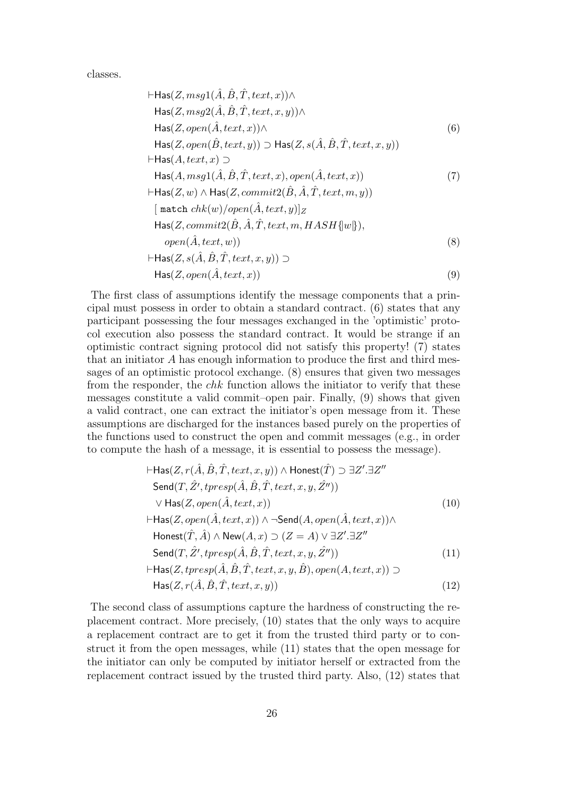classes.

$$
\vdash Has(Z, msg1(\hat{A}, \hat{B}, \hat{T}, text, x)) \land
$$
\n
$$
Has(Z, msg2(\hat{A}, \hat{B}, \hat{T}, text, x, y)) \land
$$
\n
$$
Has(Z, open(\hat{A}, text, x)) \land
$$
\n
$$
Has(Z, open(\hat{B}, text, x)) ) \qquad (6)
$$
\n
$$
Has(Z, open(\hat{B}, text, y)) \supset \text{Has}(Z, s(\hat{A}, \hat{B}, \hat{T}, text, x, y))
$$
\n
$$
\vdash Has(A, text, x) \supset
$$
\n
$$
Has(A, msg1(\hat{A}, \hat{B}, \hat{T}, text, x), open(\hat{A}, text, x))
$$
\n
$$
\vdash Has(Z, w) \land Has(Z, commit2(\hat{B}, \hat{A}, \hat{T}, text, m, y))
$$
\n
$$
[ \text{match } chk(w) / open(\hat{A}, text, y)]z
$$
\n
$$
Has(Z, commit2(\hat{B}, \hat{A}, \hat{T}, text, m, HASH\{w\}), open(\hat{A}, text, w))
$$
\n
$$
\vdash Has(Z, s(\hat{A}, \hat{B}, \hat{T}, text, x, y)) \supset
$$
\n
$$
Has(Z, open(\hat{A}, text, x))
$$
\n(9)

The first class of assumptions identify the message components that a principal must possess in order to obtain a standard contract. (6) states that any participant possessing the four messages exchanged in the 'optimistic' protocol execution also possess the standard contract. It would be strange if an optimistic contract signing protocol did not satisfy this property! (7) states that an initiator A has enough information to produce the first and third messages of an optimistic protocol exchange. (8) ensures that given two messages from the responder, the *chk* function allows the initiator to verify that these messages constitute a valid commit–open pair. Finally, (9) shows that given a valid contract, one can extract the initiator's open message from it. These assumptions are discharged for the instances based purely on the properties of the functions used to construct the open and commit messages (e.g., in order to compute the hash of a message, it is essential to possess the message).

$$
\vdash Has(Z, r(\hat{A}, \hat{B}, \hat{T}, text, x, y)) \land \text{Honest}(\hat{T}) \supset \exists Z'.\exists Z''
$$
\n
$$
\text{Send}(T, \hat{Z}', typesp(\hat{A}, \hat{B}, \hat{T}, text, x, y, \hat{Z}''))
$$
\n
$$
\lor \text{Has}(Z, open(\hat{A}, text, x))
$$
\n
$$
\vdash Has(Z, open(\hat{A}, text, x)) \land \neg \text{Send}(A, open(\hat{A}, text, x)) \land
$$
\n
$$
\text{Honest}(\hat{T}, \hat{A}) \land \text{New}(A, x) \supset (Z = A) \lor \exists Z'.\exists Z''
$$
\n
$$
\text{Send}(T, \hat{Z}', typesp(\hat{A}, \hat{B}, \hat{T}, text, x, y, \hat{Z}''))
$$
\n
$$
\vdash Has(Z, typesp(\hat{A}, \hat{B}, \hat{T}, text, x, y, \hat{B}), open(A, text, x)) \supset
$$
\n
$$
\text{Has}(Z, r(\hat{A}, \hat{B}, \hat{T}, text, x, y))
$$
\n
$$
(12)
$$

The second class of assumptions capture the hardness of constructing the replacement contract. More precisely, (10) states that the only ways to acquire a replacement contract are to get it from the trusted third party or to construct it from the open messages, while (11) states that the open message for the initiator can only be computed by initiator herself or extracted from the replacement contract issued by the trusted third party. Also, (12) states that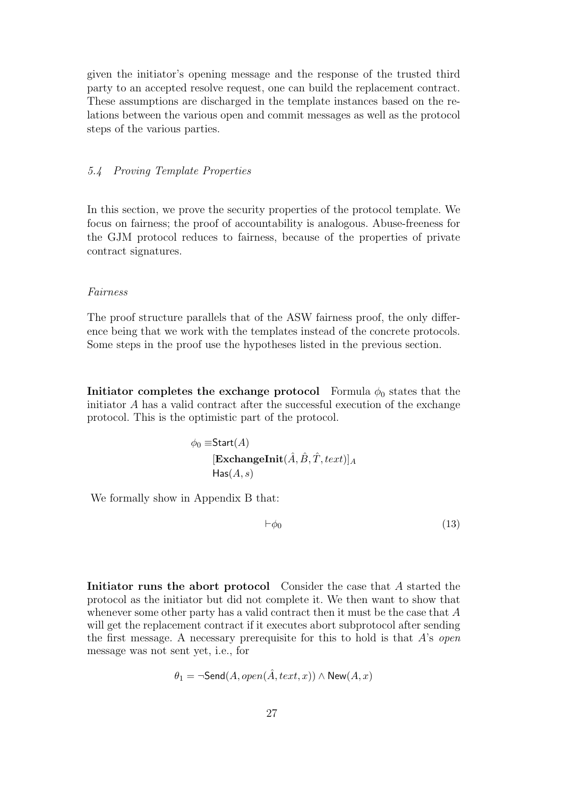given the initiator's opening message and the response of the trusted third party to an accepted resolve request, one can build the replacement contract. These assumptions are discharged in the template instances based on the relations between the various open and commit messages as well as the protocol steps of the various parties.

# 5.4 Proving Template Properties

In this section, we prove the security properties of the protocol template. We focus on fairness; the proof of accountability is analogous. Abuse-freeness for the GJM protocol reduces to fairness, because of the properties of private contract signatures.

#### Fairness

The proof structure parallels that of the ASW fairness proof, the only difference being that we work with the templates instead of the concrete protocols. Some steps in the proof use the hypotheses listed in the previous section.

Initiator completes the exchange protocol Formula  $\phi_0$  states that the initiator A has a valid contract after the successful execution of the exchange protocol. This is the optimistic part of the protocol.

> $\phi_0 \equiv$ Start $(A)$  $[\textbf{ExchangeInit}(\hat{A}, \hat{B}, \hat{T}, text)]_A$  $\textsf{Has}(A, s)$

We formally show in Appendix B that:

 $\vdash \phi_0$  (13)

Initiator runs the abort protocol Consider the case that A started the protocol as the initiator but did not complete it. We then want to show that whenever some other party has a valid contract then it must be the case that  $A$ will get the replacement contract if it executes abort subprotocol after sending the first message. A necessary prerequisite for this to hold is that  $A$ 's *open* message was not sent yet, i.e., for

$$
\theta_1 = \neg \mathsf{Send}(A, open(\hat{A}, text, x)) \land \mathsf{New}(A, x)
$$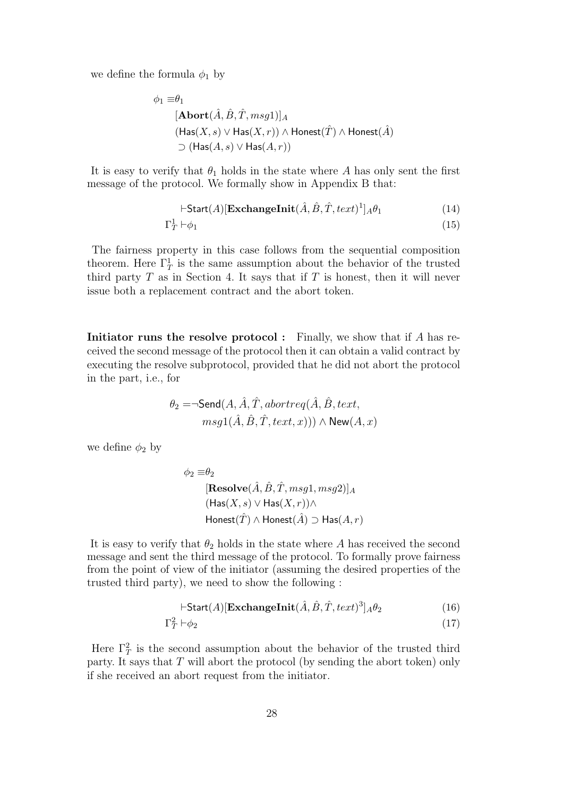we define the formula  $\phi_1$  by

$$
\phi_1 \equiv \theta_1
$$
\n
$$
[\mathbf{Abort}(\hat{A}, \hat{B}, \hat{T}, msg1)]_A
$$
\n
$$
(\mathsf{Has}(X, s) \lor \mathsf{Has}(X, r)) \land \mathsf{Honest}(\hat{T}) \land \mathsf{Honest}(\hat{A})
$$
\n
$$
\supset (\mathsf{Has}(A, s) \lor \mathsf{Has}(A, r))
$$

It is easy to verify that  $\theta_1$  holds in the state where A has only sent the first message of the protocol. We formally show in Appendix B that:

$$
\vdash \mathsf{Start}(A)[\mathbf{ExchangeInit}(\hat{A}, \hat{B}, \hat{T}, text)^1]_A \theta_1 \tag{14}
$$

$$
\Gamma_T^1 \vdash \phi_1 \tag{15}
$$

The fairness property in this case follows from the sequential composition theorem. Here  $\Gamma_T^1$  is the same assumption about the behavior of the trusted third party  $T$  as in Section 4. It says that if  $T$  is honest, then it will never issue both a replacement contract and the abort token.

Initiator runs the resolve protocol : Finally, we show that if A has received the second message of the protocol then it can obtain a valid contract by executing the resolve subprotocol, provided that he did not abort the protocol in the part, i.e., for

$$
\theta_2 = \neg \mathsf{Send}(A, \hat{A}, \hat{T}, abortreq(\hat{A}, \hat{B}, text, \\ msg1(\hat{A}, \hat{B}, \hat{T}, text, x))) \land \mathsf{New}(A, x)
$$

we define  $\phi_2$  by

$$
\phi_2 \equiv \theta_2
$$
\n[Resolve $(\hat{A}, \hat{B}, \hat{T}, msg1, msg2)]_A$   
\n $(\text{Has}(X, s) \lor \text{Has}(X, r)) \land$   
\n $\text{Honest}(\hat{T}) \land \text{Honest}(\hat{A}) \supset \text{Has}(A, r)$ 

It is easy to verify that  $\theta_2$  holds in the state where A has received the second message and sent the third message of the protocol. To formally prove fairness from the point of view of the initiator (assuming the desired properties of the trusted third party), we need to show the following :

$$
\vdash \mathsf{Start}(A) [\mathbf{ExchangeInit}(\hat{A}, \hat{B}, \hat{T}, text)^3]_A \theta_2 \tag{16}
$$

$$
\Gamma_T^2 \vdash \phi_2 \tag{17}
$$

Here  $\Gamma_T^2$  is the second assumption about the behavior of the trusted third party. It says that T will abort the protocol (by sending the abort token) only if she received an abort request from the initiator.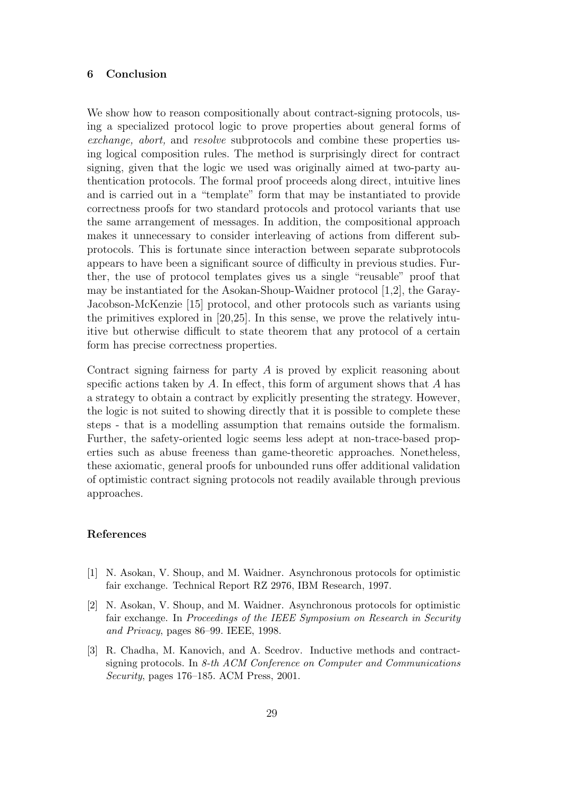## 6 Conclusion

We show how to reason compositionally about contract-signing protocols, using a specialized protocol logic to prove properties about general forms of exchange, abort, and resolve subprotocols and combine these properties using logical composition rules. The method is surprisingly direct for contract signing, given that the logic we used was originally aimed at two-party authentication protocols. The formal proof proceeds along direct, intuitive lines and is carried out in a "template" form that may be instantiated to provide correctness proofs for two standard protocols and protocol variants that use the same arrangement of messages. In addition, the compositional approach makes it unnecessary to consider interleaving of actions from different subprotocols. This is fortunate since interaction between separate subprotocols appears to have been a significant source of difficulty in previous studies. Further, the use of protocol templates gives us a single "reusable" proof that may be instantiated for the Asokan-Shoup-Waidner protocol [1,2], the Garay-Jacobson-McKenzie [15] protocol, and other protocols such as variants using the primitives explored in [20,25]. In this sense, we prove the relatively intuitive but otherwise difficult to state theorem that any protocol of a certain form has precise correctness properties.

Contract signing fairness for party  $A$  is proved by explicit reasoning about specific actions taken by A. In effect, this form of argument shows that A has a strategy to obtain a contract by explicitly presenting the strategy. However, the logic is not suited to showing directly that it is possible to complete these steps - that is a modelling assumption that remains outside the formalism. Further, the safety-oriented logic seems less adept at non-trace-based properties such as abuse freeness than game-theoretic approaches. Nonetheless, these axiomatic, general proofs for unbounded runs offer additional validation of optimistic contract signing protocols not readily available through previous approaches.

# References

- [1] N. Asokan, V. Shoup, and M. Waidner. Asynchronous protocols for optimistic fair exchange. Technical Report RZ 2976, IBM Research, 1997.
- [2] N. Asokan, V. Shoup, and M. Waidner. Asynchronous protocols for optimistic fair exchange. In Proceedings of the IEEE Symposium on Research in Security and Privacy, pages 86–99. IEEE, 1998.
- [3] R. Chadha, M. Kanovich, and A. Scedrov. Inductive methods and contractsigning protocols. In 8-th ACM Conference on Computer and Communications Security, pages 176–185. ACM Press, 2001.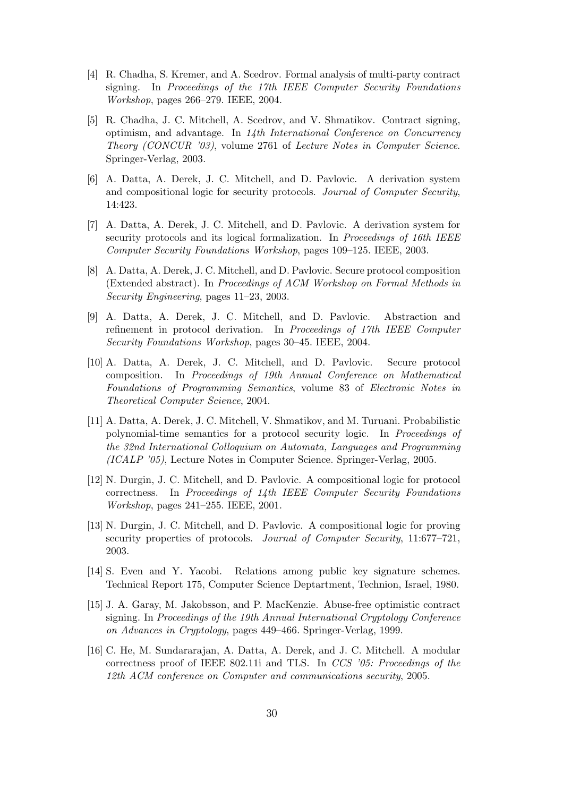- [4] R. Chadha, S. Kremer, and A. Scedrov. Formal analysis of multi-party contract signing. In Proceedings of the 17th IEEE Computer Security Foundations Workshop, pages 266–279. IEEE, 2004.
- [5] R. Chadha, J. C. Mitchell, A. Scedrov, and V. Shmatikov. Contract signing, optimism, and advantage. In 14th International Conference on Concurrency Theory (CONCUR '03), volume 2761 of Lecture Notes in Computer Science. Springer-Verlag, 2003.
- [6] A. Datta, A. Derek, J. C. Mitchell, and D. Pavlovic. A derivation system and compositional logic for security protocols. Journal of Computer Security, 14:423.
- [7] A. Datta, A. Derek, J. C. Mitchell, and D. Pavlovic. A derivation system for security protocols and its logical formalization. In *Proceedings of 16th IEEE* Computer Security Foundations Workshop, pages 109–125. IEEE, 2003.
- [8] A. Datta, A. Derek, J. C. Mitchell, and D. Pavlovic. Secure protocol composition (Extended abstract). In Proceedings of ACM Workshop on Formal Methods in Security Engineering, pages 11–23, 2003.
- [9] A. Datta, A. Derek, J. C. Mitchell, and D. Pavlovic. Abstraction and refinement in protocol derivation. In Proceedings of 17th IEEE Computer Security Foundations Workshop, pages 30–45. IEEE, 2004.
- [10] A. Datta, A. Derek, J. C. Mitchell, and D. Pavlovic. Secure protocol composition. In Proceedings of 19th Annual Conference on Mathematical Foundations of Programming Semantics, volume 83 of Electronic Notes in Theoretical Computer Science, 2004.
- [11] A. Datta, A. Derek, J. C. Mitchell, V. Shmatikov, and M. Turuani. Probabilistic polynomial-time semantics for a protocol security logic. In Proceedings of the 32nd International Colloquium on Automata, Languages and Programming (ICALP '05), Lecture Notes in Computer Science. Springer-Verlag, 2005.
- [12] N. Durgin, J. C. Mitchell, and D. Pavlovic. A compositional logic for protocol correctness. In Proceedings of 14th IEEE Computer Security Foundations Workshop, pages 241–255. IEEE, 2001.
- [13] N. Durgin, J. C. Mitchell, and D. Pavlovic. A compositional logic for proving security properties of protocols. Journal of Computer Security, 11:677–721, 2003.
- [14] S. Even and Y. Yacobi. Relations among public key signature schemes. Technical Report 175, Computer Science Deptartment, Technion, Israel, 1980.
- [15] J. A. Garay, M. Jakobsson, and P. MacKenzie. Abuse-free optimistic contract signing. In Proceedings of the 19th Annual International Cryptology Conference on Advances in Cryptology, pages 449–466. Springer-Verlag, 1999.
- [16] C. He, M. Sundararajan, A. Datta, A. Derek, and J. C. Mitchell. A modular correctness proof of IEEE 802.11i and TLS. In CCS '05: Proceedings of the 12th ACM conference on Computer and communications security, 2005.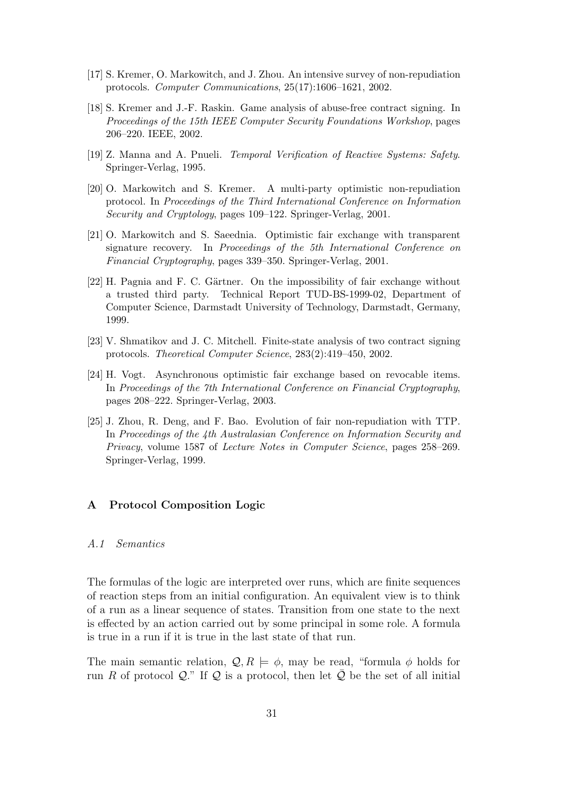- [17] S. Kremer, O. Markowitch, and J. Zhou. An intensive survey of non-repudiation protocols. Computer Communications, 25(17):1606–1621, 2002.
- [18] S. Kremer and J.-F. Raskin. Game analysis of abuse-free contract signing. In Proceedings of the 15th IEEE Computer Security Foundations Workshop, pages 206–220. IEEE, 2002.
- [19] Z. Manna and A. Pnueli. Temporal Verification of Reactive Systems: Safety. Springer-Verlag, 1995.
- [20] O. Markowitch and S. Kremer. A multi-party optimistic non-repudiation protocol. In Proceedings of the Third International Conference on Information Security and Cryptology, pages 109–122. Springer-Verlag, 2001.
- [21] O. Markowitch and S. Saeednia. Optimistic fair exchange with transparent signature recovery. In Proceedings of the 5th International Conference on Financial Cryptography, pages 339–350. Springer-Verlag, 2001.
- [22] H. Pagnia and F. C. Gärtner. On the impossibility of fair exchange without a trusted third party. Technical Report TUD-BS-1999-02, Department of Computer Science, Darmstadt University of Technology, Darmstadt, Germany, 1999.
- [23] V. Shmatikov and J. C. Mitchell. Finite-state analysis of two contract signing protocols. Theoretical Computer Science, 283(2):419–450, 2002.
- [24] H. Vogt. Asynchronous optimistic fair exchange based on revocable items. In Proceedings of the 7th International Conference on Financial Cryptography, pages 208–222. Springer-Verlag, 2003.
- [25] J. Zhou, R. Deng, and F. Bao. Evolution of fair non-repudiation with TTP. In Proceedings of the 4th Australasian Conference on Information Security and Privacy, volume 1587 of Lecture Notes in Computer Science, pages 258–269. Springer-Verlag, 1999.

## A Protocol Composition Logic

#### A.1 Semantics

The formulas of the logic are interpreted over runs, which are finite sequences of reaction steps from an initial configuration. An equivalent view is to think of a run as a linear sequence of states. Transition from one state to the next is effected by an action carried out by some principal in some role. A formula is true in a run if it is true in the last state of that run.

The main semantic relation,  $\mathcal{Q}, R \models \phi$ , may be read, "formula  $\phi$  holds for run R of protocol  $Q$ ." If Q is a protocol, then let  $\overline{Q}$  be the set of all initial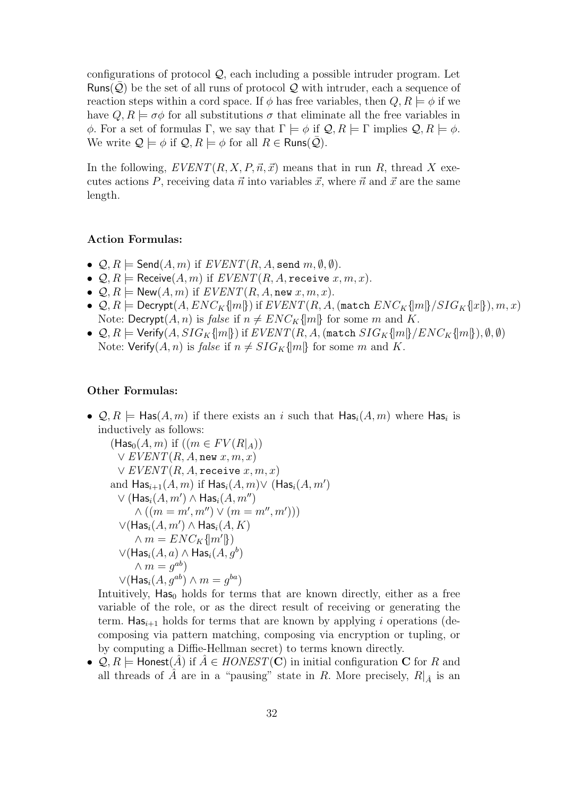configurations of protocol Q, each including a possible intruder program. Let Runs( $Q$ ) be the set of all runs of protocol  $Q$  with intruder, each a sequence of reaction steps within a cord space. If  $\phi$  has free variables, then  $Q, R \models \phi$  if we have  $Q, R \models \sigma \phi$  for all substitutions  $\sigma$  that eliminate all the free variables in φ. For a set of formulas Γ, we say that  $\Gamma \models \phi$  if  $\mathcal{Q}, R \models \Gamma$  implies  $\mathcal{Q}, R \models \phi$ . We write  $\mathcal{Q} \models \phi$  if  $\mathcal{Q}, R \models \phi$  for all  $R \in \text{Runs}(\bar{\mathcal{Q}})$ .

In the following,  $EVENT(R, X, P, \vec{n}, \vec{x})$  means that in run R, thread X executes actions P, receiving data  $\vec{n}$  into variables  $\vec{x}$ , where  $\vec{n}$  and  $\vec{x}$  are the same length.

## Action Formulas:

- $Q, R \models \mathsf{Send}(A, m)$  if  $EVENT(R, A, \mathsf{send}\, m, \emptyset, \emptyset)$ .
- $Q, R \models$  Receive $(A, m)$  if  $EVENT(R, A, \text{receive } x, m, x)$ .
- $Q, R \models \text{New}(A, m)$  if  $EVENT(R, A, new x, m, x)$ .
- $\mathcal{Q}, R \models \mathsf{Decrypt}(A, ENC_K\{m\})$  if  $EVENT(R, A, (\texttt{match } ENC_K\{m\}/SIG_K\{x\}), m, x)$ Note: Decrypt $(A, n)$  is *false* if  $n \neq ENC_K{m}$  for some m and K.
- $Q, R \models$  Verify $(A, SIG_K\{m\})$  if  $EVENT(R, A, (\text{match } SIG_K\{m\}/ENC_K\{m\}), \emptyset, \emptyset)$ Note: Verify $(A, n)$  is *false* if  $n \neq SIG_K\{m\}$  for some m and K.

## Other Formulas:

•  $\mathcal{Q}, R \models \mathsf{Has}(A, m)$  if there exists an i such that  $\mathsf{Has}_i(A, m)$  where  $\mathsf{Has}_i$  is inductively as follows:

$$
(\text{Has}_0(A, m) \text{ if } ((m \in FV(R|_A))
$$
  
\n
$$
\vee \text{ } EVENT(R, A, \text{new } x, m, x)
$$
  
\n
$$
\vee \text{ } EVENT(R, A, \text{ receive } x, m, x)
$$
  
\nand 
$$
\text{Has}_{i+1}(A, m) \text{ if } \text{Has}_i(A, m) \vee (\text{Has}_i(A, m')
$$
  
\n
$$
\vee (\text{Has}_i(A, m') \wedge \text{Has}_i(A, m'')
$$
  
\n
$$
\wedge ((m = m', m'') \vee (m = m'', m')))
$$
  
\n
$$
\vee (\text{Has}_i(A, m') \wedge \text{Has}_i(A, K)
$$
  
\n
$$
\wedge m = ENC_K\{|m'|\})
$$
  
\n
$$
\vee (\text{Has}_i(A, a) \wedge \text{Has}_i(A, g^b)
$$
  
\n
$$
\wedge m = g^{ab})
$$
  
\n
$$
\vee (\text{Has}_i(A, g^{ab}) \wedge m = g^{ba})
$$

Intuitively,  $\text{Has}_0$  holds for terms that are known directly, either as a free variable of the role, or as the direct result of receiving or generating the term. Has<sub>i+1</sub> holds for terms that are known by applying i operations (decomposing via pattern matching, composing via encryption or tupling, or by computing a Diffie-Hellman secret) to terms known directly.

•  $\mathcal{Q}, R \models$  Honest( $\hat{A}$ ) if  $\hat{A} \in HONEST(\mathbf{C})$  in initial configuration C for R and all threads of  $\hat{A}$  are in a "pausing" state in  $R$ . More precisely,  $R|_{\hat{A}}$  is an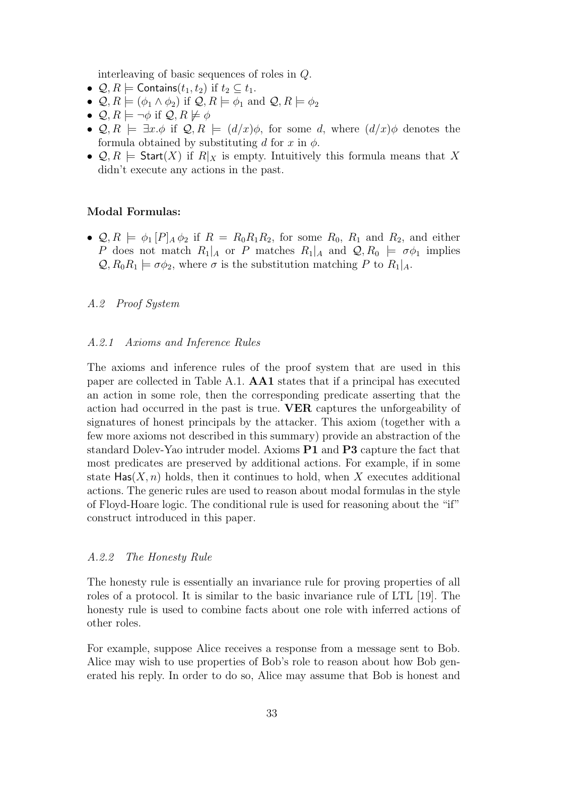interleaving of basic sequences of roles in Q.

- $Q, R \models$  Contains $(t_1, t_2)$  if  $t_2 \subseteq t_1$ .
- $\mathcal{Q}, R \models (\phi_1 \land \phi_2)$  if  $\mathcal{Q}, R \models \phi_1$  and  $\mathcal{Q}, R \models \phi_2$
- $\mathcal{Q}, R \models \neg \phi$  if  $\mathcal{Q}, R \not\models \phi$
- $\mathcal{Q}, R \models \exists x. \phi \text{ if } \mathcal{Q}, R \models (d/x)\phi, \text{ for some } d, \text{ where } (d/x)\phi \text{ denotes the }$ formula obtained by substituting d for x in  $\phi$ .
- $\mathcal{Q}, R \models$  Start $(X)$  if  $R|_X$  is empty. Intuitively this formula means that X didn't execute any actions in the past.

#### Modal Formulas:

•  $\mathcal{Q}, R \models \phi_1[P]_A \phi_2$  if  $R = R_0R_1R_2$ , for some  $R_0, R_1$  and  $R_2$ , and either P does not match  $R_1|_A$  or P matches  $R_1|_A$  and  $\mathcal{Q}, R_0 \models \sigma \phi_1$  implies  $\mathcal{Q}, R_0R_1 \models \sigma\phi_2$ , where  $\sigma$  is the substitution matching P to  $R_1|_A$ .

#### A.2 Proof System

#### A.2.1 Axioms and Inference Rules

The axioms and inference rules of the proof system that are used in this paper are collected in Table A.1. AA1 states that if a principal has executed an action in some role, then the corresponding predicate asserting that the action had occurred in the past is true. VER captures the unforgeability of signatures of honest principals by the attacker. This axiom (together with a few more axioms not described in this summary) provide an abstraction of the standard Dolev-Yao intruder model. Axioms P1 and P3 capture the fact that most predicates are preserved by additional actions. For example, if in some state  $\textsf{Has}(X, n)$  holds, then it continues to hold, when X executes additional actions. The generic rules are used to reason about modal formulas in the style of Floyd-Hoare logic. The conditional rule is used for reasoning about the "if" construct introduced in this paper.

#### A.2.2 The Honesty Rule

The honesty rule is essentially an invariance rule for proving properties of all roles of a protocol. It is similar to the basic invariance rule of LTL [19]. The honesty rule is used to combine facts about one role with inferred actions of other roles.

For example, suppose Alice receives a response from a message sent to Bob. Alice may wish to use properties of Bob's role to reason about how Bob generated his reply. In order to do so, Alice may assume that Bob is honest and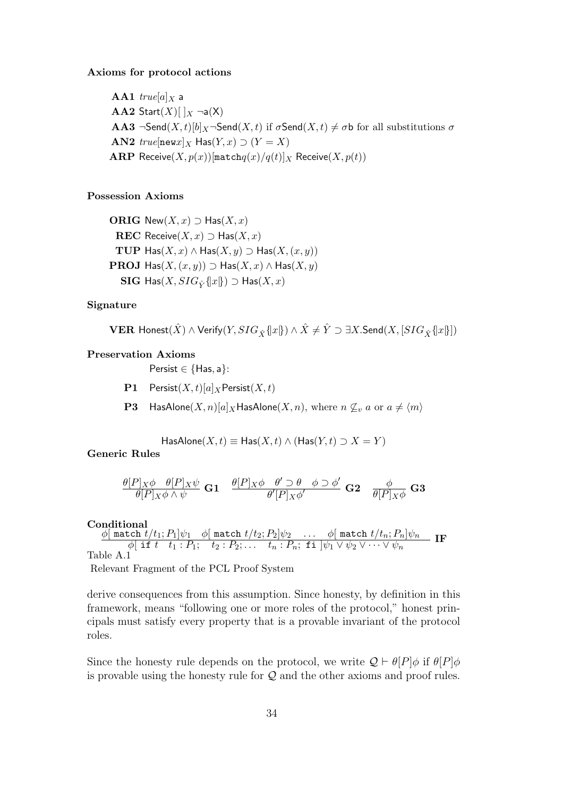#### Axioms for protocol actions

AA1 true[a] $_X$  a AA2 Start $(X)$ [ ] $_X \neg a(X)$ **AA3**  $\neg$ Send(X, t)[b]<sub>X</sub> $\neg$ Send(X, t) if  $\sigma$ Send(X, t)  $\neq \sigma$ b for all substitutions  $\sigma$ AN2  $true[newx]_X$  Has $(Y, x) \supset (Y = X)$ **ARP** Receive $(X, p(x))$ [match $q(x)/q(t)$ ] $_X$  Receive $(X, p(t))$ 

#### Possession Axioms

ORIG New $(X, x)$   $\supset$  Has $(X, x)$ REC Receive $(X, x) \supset \text{Has}(X, x)$ TUP  $\text{Has}(X, x) \land \text{Has}(X, y) \supset \text{Has}(X, (x, y))$ **PROJ** Has( $X, (x, y)$ ) ⊃ Has( $X, x$ ) ∧ Has( $X, y$ ) SIG Has $(X, SIG_{\hat{Y}}\{x\}) \supset$  Has $(X, x)$ 

# Signature

$$
\mathbf{VER} \; \mathsf{Honest}(\hat{X}) \land \mathsf{Verify}(Y, SIG_{\hat{X}}\{\!\!\{x\}\!\!\}) \land \hat{X} \neq \hat{Y} \supset \exists X. \mathsf{Send}(X, [SIG_{\hat{X}}\{\!\!\{x\}\!\!\})]
$$

## Preservation Axioms

Persist ∈ {Has, a}:

- P1 Persist $(X, t)[a]_X$ Persist $(X, t)$
- **P3** HasAlone $(X, n)[a]_X$ HasAlone $(X, n)$ , where  $n \nsubseteq_v a$  or  $a \neq \langle m \rangle$

$$
\mathsf{HasAlone}(X,t) \equiv \mathsf{Has}(X,t) \land (\mathsf{Has}(Y,t) \supset X = Y)
$$

Generic Rules

$$
\frac{\theta[P]_X\phi \quad \theta[P]_X\psi}{\theta[P]_X\phi \land \psi} \ \mathbf{G1} \quad \frac{\theta[P]_X\phi \quad \theta' \supset \theta \quad \phi \supset \phi'}{\theta'[P]_X\phi'} \ \mathbf{G2} \quad \frac{\phi}{\theta[P]_X\phi} \ \mathbf{G3}
$$

#### Conditional

 $\phi[$  match  $t/t_1; P_1]\psi_1 \quad \phi[$  match  $t/t_2; P_2]\psi_2 \quad \dots \quad \phi[$  match  $t/t_n; P_n]\psi_n$  $\phi$ [ if t t<sub>1</sub> : P<sub>1</sub>; t<sub>2</sub> : P<sub>2</sub>; . . . t<sub>n</sub> : P<sub>n</sub>; fi  $\psi_1 \psi_2 \vee \cdots \vee \psi_n$  IF Table A.1

Relevant Fragment of the PCL Proof System

derive consequences from this assumption. Since honesty, by definition in this framework, means "following one or more roles of the protocol," honest principals must satisfy every property that is a provable invariant of the protocol roles.

Since the honesty rule depends on the protocol, we write  $\mathcal{Q} \vdash \theta[P]\phi$  if  $\theta[P]\phi$ is provable using the honesty rule for Q and the other axioms and proof rules.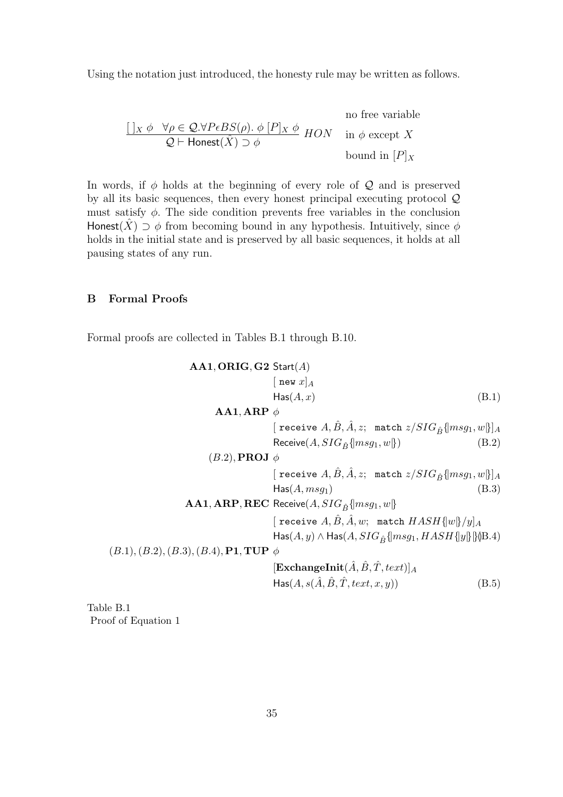Using the notation just introduced, the honesty rule may be written as follows.

$$
\begin{array}{ll}\n & \text{no free variable} \\
[\ ]_X \phi \quad \forall \rho \in \mathcal{Q}.\forall P \in BS(\rho). \ \phi \ [P]_X \ \phi \\
 & \text{Q} \vdash \mathsf{Honest}(\hat{X}) \supset \phi\n\end{array} \quad \begin{array}{ll}\n & \text{no free variable} \\
\text{HO}N \quad & \text{in } \ \phi \text{ except } X \\
 & \text{bound in } [P]_X\n\end{array}
$$

In words, if  $\phi$  holds at the beginning of every role of  $\mathcal Q$  and is preserved by all its basic sequences, then every honest principal executing protocol Q must satisfy  $\phi$ . The side condition prevents free variables in the conclusion Honest(X)  $\supset \phi$  from becoming bound in any hypothesis. Intuitively, since  $\phi$ holds in the initial state and is preserved by all basic sequences, it holds at all pausing states of any run.

# B Formal Proofs

Formal proofs are collected in Tables B.1 through B.10.

**AA1, ORIG, G2 Start**(*A*)  
\n
$$
[new x]_A
$$
\n
$$
[has(A, x)]
$$
\n(A1, ARP  $\phi$   
\n
$$
[receive A, \hat{B}, \hat{A}, z; match z/SIG_{\hat{B}}{msg_1, w}]\_A
$$
\n
$$
[receive(A, SIG_{\hat{B}}{msg_1, w}])
$$
\n(B.2)  
\n
$$
(B.2), PROJ \phi
$$
\n
$$
[receive A, \hat{B}, \hat{A}, z; match z/SIG_{\hat{B}}{msg_1, w}]\_A
$$
\n
$$
[receive A, \hat{B}, \hat{A}, z; match z/SIG_{\hat{B}}{msg_1, w}]\_A
$$
\n
$$
[Caseive (A, SIG_{\hat{B}}{msg_1, w}]
$$
\n(B.3)  
\n
$$
[receive A, \hat{B}, \hat{A}, w; match HASH{w}/y]_A
$$
\n
$$
[receive A, \hat{B}, \hat{A}, w; match HASH{w}/y]\_A
$$
\n
$$
[base(A, y) \land Has(A, SIG_{\hat{B}}{msg_1, HASH{y}}]\_B^{B}B.4)
$$
\n
$$
(B.1), (B.2), (B.3), (B.4), P1, TUP  $\phi$   
\n
$$
[ExchangeInit(\hat{A}, \hat{B}, \hat{T}, text, x, y))
$$
\n
$$
[B.5)
$$
$$

Table B.1 Proof of Equation 1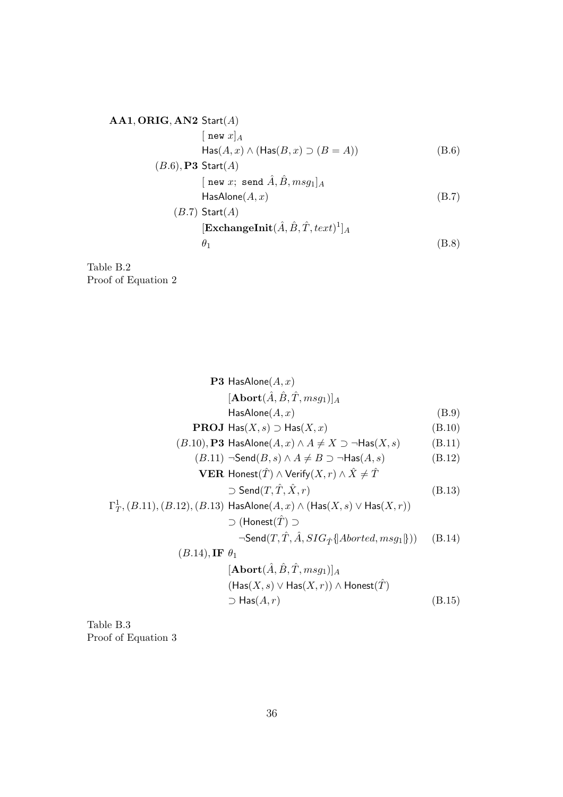$A$ A1, ORIG, AN2 Start $(A)$ [ new  $x|_A$  $\textsf{Has}(A, x) \land (\textsf{Has}(B, x) \supset (B = A))$  (B.6)  $(B.6)$ , P3 Start $(A)$  $[$  new  $x;$  send  $\hat{A}, \hat{B}, msg_1]_A$  $\mathsf{HasAlone}(A, x)$  (B.7)  $(B.7)$  Start $(A)$  $[\mathbf{ExchangeInit}(\hat{A}, \hat{B}, \hat{T}, text)^1]_A$  $\theta_1$  (B.8)

Table B.2 Proof of Equation 2

> **P3** HasAlone $(A, x)$  $[\textbf{Abort}(\hat{A}, \hat{B}, \hat{T}, msg_1)]_A$  $\mathsf{HasAlone}(A, x)$  (B.9) **PROJ** Has $(X, s)$  ⊃ Has $(X, x)$  (B.10)  $(B.10), P3$  HasAlone $(A, x) \wedge A \neq X \supset \neg \text{Has}(X, s)$  (B.11)  $(B.11)$  ¬Send $(B, s) \wedge A \neq B$   $\supset \neg$ Has $(A, s)$  (B.12) **VER** Honest $(\hat{T}) \wedge$  Verify $(X, r) \wedge \hat{X} \neq \hat{T}$  $\supset$  Send $(T, \hat{T}, \hat{X}, r)$  (B.13)  $\Gamma^1_T, (B.11), (B.12), (B.13)$  HasAlone $(A, x) \wedge (\mathsf{Has}(X, s) \vee \mathsf{Has}(X, r))$  $\supset$  (Honest $(\hat{T}) \supset$  $\neg \mathsf{Send}(T, \hat{T}, \hat{A}, SIG_{\hat{T}}\{\mathit{Aborted}, msg_1\} )) \tag{B.14}$  $(B.14)$ , IF  $\theta_1$  $[\textbf{Abort}(\hat{A}, \hat{B}, \hat{T}, msg_1)]_A$  $(Has(X, s) \vee Has(X, r)) \wedge Homest(\hat{T})$  $\supset$  Has( $A, r$ ) (B.15)

Table B.3 Proof of Equation 3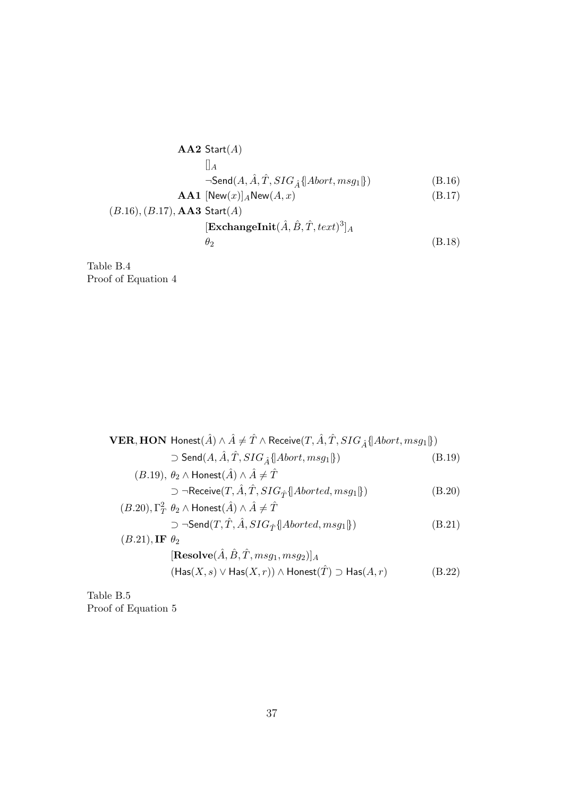$$
\mathbf{AA2 Start}(A)
$$
  
\n
$$
\begin{bmatrix}\nA & -\text{Send}(A, \hat{A}, \hat{T}, SIG_{\hat{A}}\{Abort, msg_1\})\n\end{bmatrix}
$$
\n
$$
\mathbf{AA1 [New(x)]_A New(A, x)}
$$
\n
$$
(B.16), (B.17), \mathbf{AA3 Start}(A)
$$
\n
$$
[\text{ExchangeInit}(\hat{A}, \hat{B}, \hat{T}, text)^3]_A
$$
\n
$$
\theta_2
$$
\n(B.18)

Table B.4 Proof of Equation 4

**VER, HON Honest**(
$$
\hat{A}
$$
)  $\wedge \hat{A} \neq \hat{T} \wedge \text{Receive}(T, \hat{A}, \hat{T}, SIG_{\hat{A}}\{\text{Abort}, msg_1\})$ 

\n $\supset \text{Send}(A, \hat{A}, \hat{T}, SIG_{\hat{A}}\{\text{Abort}, msg_1\})$  (B.19)

\n $(B.19), \theta_2 \wedge \text{Honest}(\hat{A}) \wedge \hat{A} \neq \hat{T}$ 

\n $\supset \neg \text{Receive}(T, \hat{A}, \hat{T}, SIG_{\hat{T}}\{\text{Aborted}, msg_1\})$  (B.20)

\n $(B.20), \Gamma_T^2 \theta_2 \wedge \text{Honest}(\hat{A}) \wedge \hat{A} \neq \hat{T}$ 

\n $\supset \text{Send}(T, \hat{T}, \hat{A}, SIG_{\hat{T}}\{\text{Aborted}, msg_1\})$  (B.21)

\n $(B.21), \text{IF } \theta_2$ 

\n $[\text{Resolve}(\hat{A}, \hat{B}, \hat{T}, msg_1, msg_2)]_A$ 

\n $(\text{Has}(X, s) \vee \text{Has}(X, r)) \wedge \text{Honest}(\hat{T}) \supset \text{Has}(A, r)$  (B.22)

Table B.5 Proof of Equation 5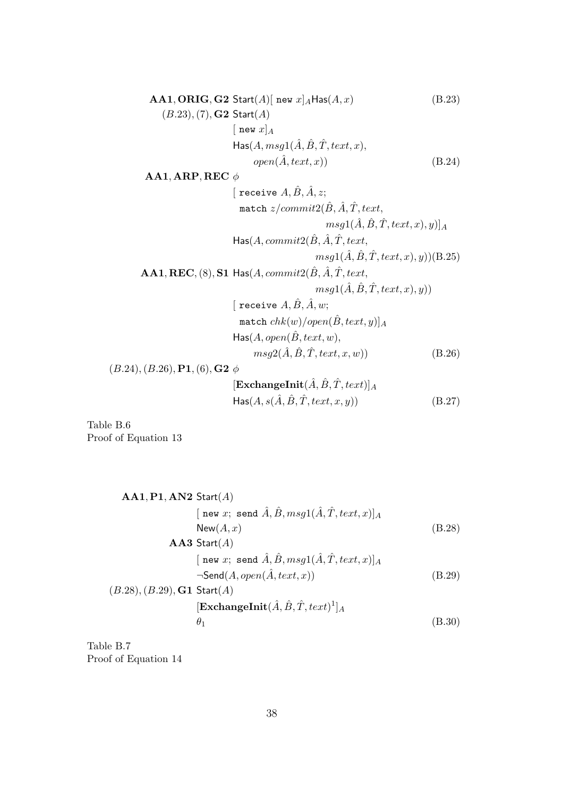$\textbf{A}\textbf{A}1, \textbf{ORIG}, \textbf{G2 Start}(A)$ [ new  $x|_A\textbf{Has}(A, x)$  (B.23)  $(B.23), (7), G2$  Start $(A)$ [ new  $x|_A$  $\textsf{Has}(A, msg1(\hat{A}, \hat{B}, \hat{T}, text, x),$  $open(\hat{A}, text, x)$  (B.24)  $AA1, ARP, REC \phi$ [ receive  $A, \hat{B}, \hat{A}, z;$ match  $z/commit2(\hat{B}, \hat{A}, \hat{T}, text,$  $msg1(\hat{A}, \hat{B}, \hat{T}, text, x), y)|_A$  $\textsf{Has}(A, commit2(\hat{B}, \hat{A}, \hat{T}, text,$  $msg1(\hat{A}, \hat{B}, \hat{T}, text, x), y)$ (B.25)  $\textbf{A}\textbf{A}1,\textbf{REC}, (8), \textbf{S}1 \text{ Has}(A, commit2(\hat{B}, \hat{A}, \hat{T}, text,$  $msg1(\hat{A}, \hat{B}, \hat{T}, text, x), y)$ [ receive  $A, \hat{B}, \hat{A}, w$ ; match  $chk(w)/open(\hat{B}, text, y)]_A$  $\textsf{Has}(A, open(\hat{B}, text, w),$  $msg2(\hat{A}, \hat{B}, \hat{T}, text, x, w)$  (B.26)  $(B.24), (B.26), P1, (6), G2 \phi$  $[\textbf{ExchangeInit}(\hat{A}, \hat{B}, \hat{T}, text)]_A$  $\textsf{Has}(A, s(\hat{A}, \hat{B}, \hat{T}, text, x, y))$  (B.27)

Table B.6 Proof of Equation 13

> $AA1, P1, AN2$  Start $(A)$ [new x; send  $\hat{A}, \hat{B}, msq1(\hat{A}, \hat{T}, text, x)$ ] A  $New(A, x)$  (B.28)  $\mathbf{A}\mathbf{A}$ 3 Start $(A)$ [new x; send  $\hat{A}, \hat{B}, msg1(\hat{A}, \hat{T}, text, x)|_A$  $\neg\mathsf{Send}(A, open(\hat{A}, text, x))$ (B.29)  $(B.28), (B.29), G1$  Start $(A)$  $[\mathbf{ExchangeInit}(\hat{A}, \hat{B}, \hat{T}, text)^1]_A$  $\theta_1$  (B.30)

Table B.7 Proof of Equation 14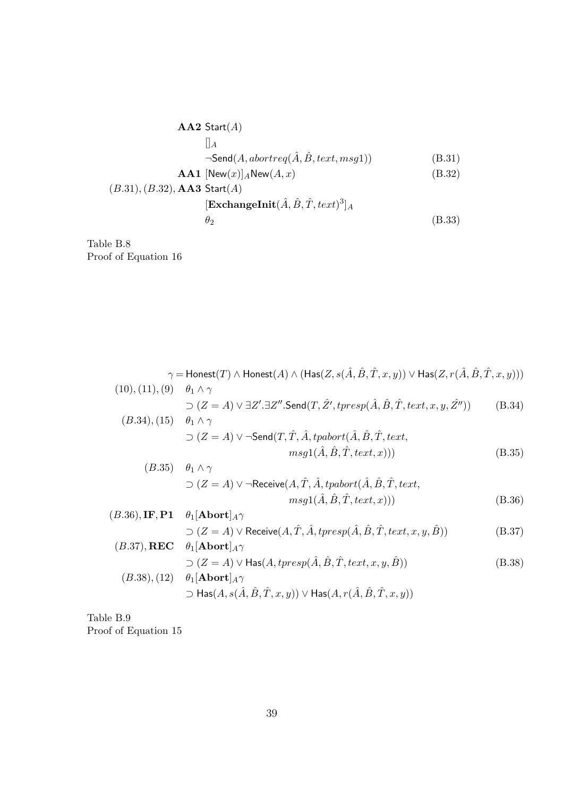$$
\mathbf{AA2 Start}(A)
$$
\n
$$
\begin{bmatrix}\nA & \text{--Send}(A, abortreq(\hat{A}, \hat{B}, text, msg1)) & \text{(B.31)} \\
\mathbf{AA1 [New(x)]_A New(A, x)} & \text{(B.32)} \\
(\mathbf{B.31}), (\mathbf{B.32}), \mathbf{AA3 Start}(A) & \text{[ExchangeInit}(\hat{A}, \hat{B}, \hat{T}, text)^3]_A \\
\theta_2 & \text{(B.33)}\n\end{bmatrix}
$$

Table B.8 Proof of Equation 16

| $\gamma =$ Honest $(T) \wedge$ Honest $(A) \wedge$ $(Has(Z, s(\hat{A}, \hat{B}, \hat{T}, x, y)) \vee$ Has $(Z, r(\hat{A}, \hat{B}, \hat{T}, x, y)))$ |                                         |
|------------------------------------------------------------------------------------------------------------------------------------------------------|-----------------------------------------|
| $\theta_1 \wedge \gamma$                                                                                                                             |                                         |
| $\supset (Z = A) \vee \exists Z'. \exists Z''.$ Send $(T, \hat{Z'}, \text{trresp}(\hat{A}, \hat{B}, \hat{T}, \text{text}, x, y, \hat{Z''}))$         | (B.34)                                  |
|                                                                                                                                                      |                                         |
| $\supset$ $(Z = A) \vee \neg$ Send $(T, \hat{T}, \hat{A}, tpabort(\hat{A}, \hat{B}, \hat{T}, text,$                                                  |                                         |
| $msg1(\hat{A}, \hat{B}, \hat{T}, text, x))$                                                                                                          | (B.35)                                  |
| $\theta_1 \wedge \gamma$                                                                                                                             |                                         |
| $\supset (Z = A) \vee \neg$ Receive $(A, \hat{T}, \hat{A}, tpabort(\hat{A}, \hat{B}, \hat{T}, text,$                                                 |                                         |
| $msg1(\hat{A}, \hat{B}, \hat{T}, text, x))$                                                                                                          | (B.36)                                  |
| $\theta_1[\textbf{Abort}]_A\gamma$                                                                                                                   |                                         |
| $\supset (Z = A) \vee$ Receive $(A, \hat{T}, \hat{A}, \text{trresp}(\hat{A}, \hat{B}, \hat{T}, \text{text}, x, y, \hat{B}))$                         | (B.37)                                  |
| $\theta_1[\textbf{Abort}]_A\gamma$                                                                                                                   |                                         |
| $\supset (Z = A) \vee$ Has $(A, \text{tress}(A, \hat{B}, \hat{T}, \text{text}, x, y, \hat{B}))$                                                      | (B.38)                                  |
| $\theta_1[\textbf{Abort}]_A\gamma$                                                                                                                   |                                         |
| $\supset$ Has $(A, s(\hat{A}, \hat{B}, \hat{T}, x, y)) \vee$ Has $(A, r(\hat{A}, \hat{B}, \hat{T}, x, y))$                                           |                                         |
|                                                                                                                                                      | $(B.34), (15)$ $\theta_1 \wedge \gamma$ |

Table B.9 Proof of Equation 15